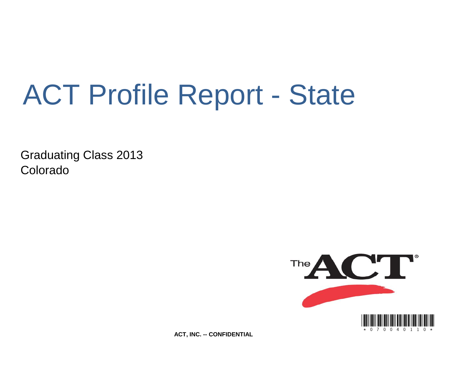# ACT Profile Report - State

Graduating Class 2013 Colorado



**ACT, INC. -- CONFIDENTIAL**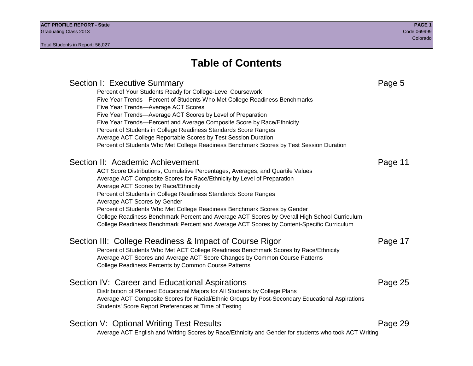## **Table of Contents**

Section I: Executive Summary **Page 5** and the section I: Executive Summary Percent of Your Students Ready for College-Level Coursework Five Year Trends—Percent of Students Who Met College Readiness Benchmarks Five Year Trends—Average ACT Scores Five Year Trends—Average ACT Scores by Level of Preparation Five Year Trends—Percent and Average Composite Score by Race/Ethnicity Percent of Students in College Readiness Standards Score Ranges Average ACT College Reportable Scores by Test Session Duration Percent of Students Who Met College Readiness Benchmark Scores by Test Session Duration Section II: Academic Achievement **Page 11** Page 11 ACT Score Distributions, Cumulative Percentages, Averages, and Quartile Values Average ACT Composite Scores for Race/Ethnicity by Level of Preparation Average ACT Scores by Race/Ethnicity Percent of Students in College Readiness Standards Score Ranges Average ACT Scores by Gender Percent of Students Who Met College Readiness Benchmark Scores by Gender College Readiness Benchmark Percent and Average ACT Scores by Overall High School Curriculum College Readiness Benchmark Percent and Average ACT Scores by Content-Specific Curriculum Section III: College Readiness & Impact of Course Rigor Page 17 Percent of Students Who Met ACT College Readiness Benchmark Scores by Race/Ethnicity Average ACT Scores and Average ACT Score Changes by Common Course Patterns College Readiness Percents by Common Course Patterns Section IV: Career and Educational Aspirations **Page 25** Page 25 Distribution of Planned Educational Majors for All Students by College Plans Average ACT Composite Scores for Racial/Ethnic Groups by Post-Secondary Educational Aspirations Students' Score Report Preferences at Time of Testing Section V: Optional Writing Test Results **Page 29** Page 29 Average ACT English and Writing Scores by Race/Ethnicity and Gender for students who took ACT Writing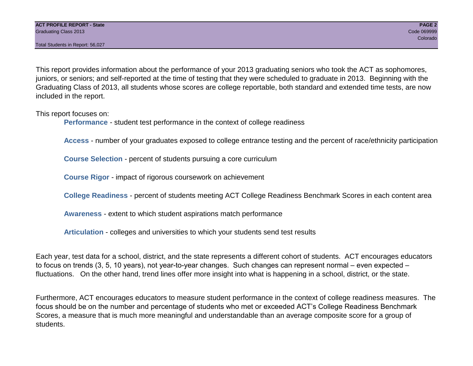This report provides information about the performance of your 2013 graduating seniors who took the ACT as sophomores, juniors, or seniors; and self-reported at the time of testing that they were scheduled to graduate in 2013. Beginning with the Graduating Class of 2013, all students whose scores are college reportable, both standard and extended time tests, are now included in the report.

This report focuses on:

**Performance** - student test performance in the context of college readiness

**Access** - number of your graduates exposed to college entrance testing and the percent of race/ethnicity participation

**Course Selection** - percent of students pursuing a core curriculum

**Course Rigor** - impact of rigorous coursework on achievement

**College Readiness** - percent of students meeting ACT College Readiness Benchmark Scores in each content area

**Awareness** - extent to which student aspirations match performance

**Articulation** - colleges and universities to which your students send test results

Each year, test data for a school, district, and the state represents a different cohort of students. ACT encourages educators to focus on trends (3, 5, 10 years), not year-to-year changes. Such changes can represent normal – even expected – fluctuations. On the other hand, trend lines offer more insight into what is happening in a school, district, or the state.

Furthermore, ACT encourages educators to measure student performance in the context of college readiness measures. The focus should be on the number and percentage of students who met or exceeded ACT's College Readiness Benchmark Scores, a measure that is much more meaningful and understandable than an average composite score for a group of students.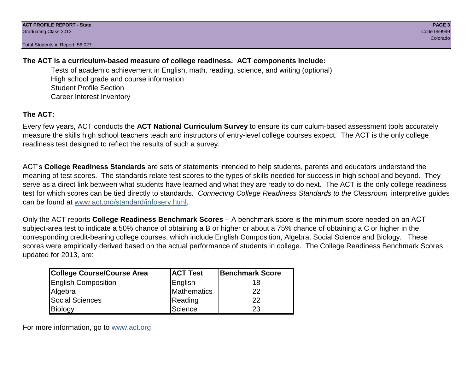## **The ACT is a curriculum-based measure of college readiness. ACT components include:**

Tests of academic achievement in English, math, reading, science, and writing (optional) High school grade and course information Student Profile Section Career Interest Inventory

## **The ACT:**

Every few years, ACT conducts the **ACT National Curriculum Survey** to ensure its curriculum-based assessment tools accurately measure the skills high school teachers teach and instructors of entry-level college courses expect. The ACT is the only college readiness test designed to reflect the results of such a survey.

ACT's **College Readiness Standards** are sets of statements intended to help students, parents and educators understand the meaning of test scores. The standards relate test scores to the types of skills needed for success in high school and beyond. They serve as a direct link between what students have learned and what they are ready to do next. The ACT is the only college readiness test for which scores can be tied directly to standards. *Connecting College Readiness Standards to the Classroom* interpretive guides can be found at www.act.org/standard/infoserv.html.

Only the ACT reports **College Readiness Benchmark Scores** – A benchmark score is the minimum score needed on an ACT subject-area test to indicate a 50% chance of obtaining a B or higher or about a 75% chance of obtaining a C or higher in the corresponding credit-bearing college courses, which include English Composition, Algebra, Social Science and Biology. These scores were empirically derived based on the actual performance of students in college. The College Readiness Benchmark Scores, updated for 2013, are:

| <b>College Course/Course Area</b> | <b>ACT Test</b> | Benchmark Score |
|-----------------------------------|-----------------|-----------------|
| <b>English Composition</b>        | English         | 18              |
| Algebra                           | Mathematics     | 22              |
| <b>Social Sciences</b>            | Reading         | 22              |
| Biology                           | Science         | 23              |

For more information, go to www.act.org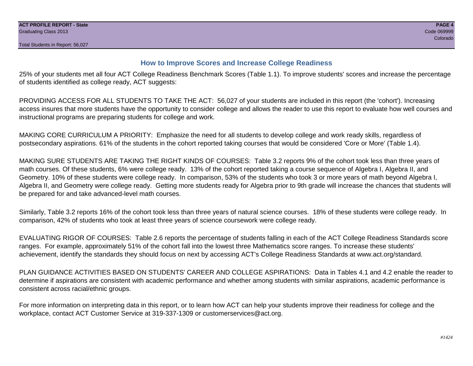## **How to Improve Scores and Increase College Readiness**

25% of your students met all four ACT College Readiness Benchmark Scores (Table 1.1). To improve students' scores and increase the percentage of students identified as college ready, ACT suggests:

PROVIDING ACCESS FOR ALL STUDENTS TO TAKE THE ACT: 56,027 of your students are included in this report (the 'cohort'). Increasing access insures that more students have the opportunity to consider college and allows the reader to use this report to evaluate how well courses and instructional programs are preparing students for college and work.

MAKING CORE CURRICULUM A PRIORITY: Emphasize the need for all students to develop college and work ready skills, regardless of postsecondary aspirations. 61% of the students in the cohort reported taking courses that would be considered 'Core or More' (Table 1.4).

MAKING SURE STUDENTS ARE TAKING THE RIGHT KINDS OF COURSES: Table 3.2 reports 9% of the cohort took less than three years of math courses. Of these students, 6% were college ready. 13% of the cohort reported taking a course sequence of Algebra I, Algebra II, and Geometry. 10% of these students were college ready. In comparison, 53% of the students who took 3 or more years of math beyond Algebra I, Algebra II, and Geometry were college ready. Getting more students ready for Algebra prior to 9th grade will increase the chances that students will be prepared for and take advanced-level math courses.

Similarly, Table 3.2 reports 16% of the cohort took less than three years of natural science courses. 18% of these students were college ready. In comparison, 42% of students who took at least three years of science coursework were college ready.

EVALUATING RIGOR OF COURSES: Table 2.6 reports the percentage of students falling in each of the ACT College Readiness Standards score ranges. For example, approximately 51% of the cohort fall into the lowest three Mathematics score ranges. To increase these students' achievement, identify the standards they should focus on next by accessing ACT's College Readiness Standards at www.act.org/standard.

PLAN GUIDANCE ACTIVITIES BASED ON STUDENTS' CAREER AND COLLEGE ASPIRATIONS: Data in Tables 4.1 and 4.2 enable the reader to determine if aspirations are consistent with academic performance and whether among students with similar aspirations, academic performance is consistent across racial/ethnic groups.

For more information on interpreting data in this report, or to learn how ACT can help your students improve their readiness for college and the workplace, contact ACT Customer Service at 319-337-1309 or customerservices@act.org.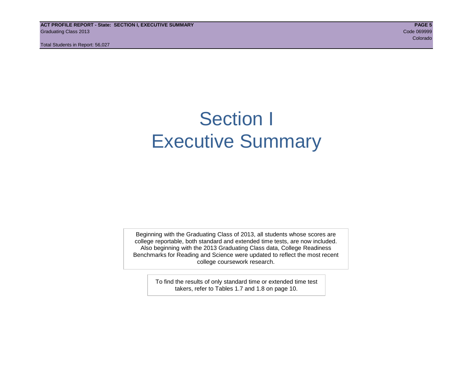**ACT PROFILE REPORT - State: SECTION I, EXECUTIVE SUMMARY PAGE 5** Graduating Class 2013 Code 069999

Total Students in Report: 56,027

e de la construcción de la construcción de la construcción de la construcción de la construcción de la construcción

## Section I Executive Summary

Beginning with the Graduating Class of 2013, all students whose scores are college reportable, both standard and extended time tests, are now included. Also beginning with the 2013 Graduating Class data, College Readiness Benchmarks for Reading and Science were updated to reflect the most recent college coursework research.

> To find the results of only standard time or extended time test takers, refer to Tables 1.7 and 1.8 on page 10.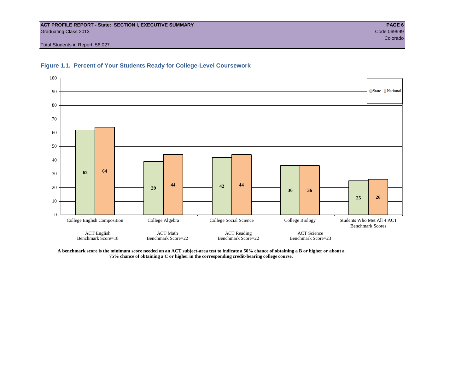#### **ACT PROFILE REPORT - State: SECTION I, EXECUTIVE SUMMARY PAGE 6** Graduating Class 2013 Code 069999

Total Students in Report: 56,027





**A benchmark score is the minimum score needed on an ACT subject-area test to indicate a 50% chance of obtaining a B or higher or about a 75% chance of obtaining a C or higher in the corresponding credit-bearing college course.**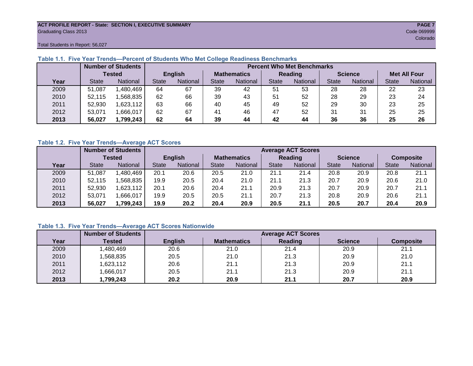#### **ACT PROFILE REPORT - State: SECTION I, EXECUTIVE SUMMARY PAGE 7** Graduating Class 2013 Code 069999

Total Students in Report: 56,027

|      |              | <b>Number of Students</b> | <b>Percent Who Met Benchmarks</b> |                |                    |          |              |          |                |          |                     |          |  |  |
|------|--------------|---------------------------|-----------------------------------|----------------|--------------------|----------|--------------|----------|----------------|----------|---------------------|----------|--|--|
|      |              | <b>Tested</b>             |                                   | <b>English</b> | <b>Mathematics</b> |          | Reading      |          | <b>Science</b> |          | <b>Met All Four</b> |          |  |  |
| Year | <b>State</b> | <b>National</b>           | <b>State</b>                      | National       |                    | National | <b>State</b> | National |                | National | <b>State</b>        | National |  |  |
| 2009 | 51,087       | ,480,469                  | 64                                | 67             | 39                 | 42       | 51           | 53       | 28             | 28       | 22                  | 23       |  |  |
| 2010 | 52.115       | .568.835                  | 62                                | 66             | 39                 | 43       | 51           | 52       | 28             | 29       | 23                  | 24       |  |  |
| 2011 | 52,930       | 623,112                   | 63                                | 66             | 40                 | 45       | 49           | 52       | 29             | 30       | 23                  | 25       |  |  |
| 2012 | 53,071       | .666,017                  | 62                                | 67             | 41                 | 46       | 47           | 52       | 31             | 31       | 25                  | 25       |  |  |
| 2013 | 56,027       | 1,799,243                 | 62                                | 64             | 39                 | 44       | 42           | 44       | 36             | 36       | 25                  | 26       |  |  |

## **Table 1.1. Five Year Trends—Percent of Students Who Met College Readiness Benchmarks**

#### **Table 1.2. Five Year Trends—Average ACT Scores**

|      |              | <b>Number of Students</b> |              | <b>Average ACT Scores</b> |                    |          |                |                 |                |          |                  |          |  |  |  |
|------|--------------|---------------------------|--------------|---------------------------|--------------------|----------|----------------|-----------------|----------------|----------|------------------|----------|--|--|--|
|      |              | Tested                    |              | <b>English</b>            | <b>Mathematics</b> |          | <b>Reading</b> |                 | <b>Science</b> |          | <b>Composite</b> |          |  |  |  |
| Year | <b>State</b> | <b>National</b>           | <b>State</b> | National                  |                    | National | <b>State</b>   | <b>National</b> | <b>State</b>   | National | <b>State</b>     | National |  |  |  |
| 2009 | 51.087       | .480,469                  | 20.1         | 20.6                      | 20.5               | 21.0     | 21.1           | 21.4            | 20.8           | 20.9     | 20.8             | 21.1     |  |  |  |
| 2010 | 52,115       | .568.835                  | 19.9         | 20.5                      | 20.4               | 21.0     | 21.1           | 21.3            | 20.7           | 20.9     | 20.6             | 21.0     |  |  |  |
| 2011 | 52,930       | .623,112                  | 20.1         | 20.6                      | 20.4               | 21.1     | 20.9           | 21.3            | 20.7           | 20.9     | 20.7             | 21.1     |  |  |  |
| 2012 | 53,071       | .666,017                  | 19.9         | 20.5                      | 20.5               | 21.1     | 20.7           | 21.3            | 20.8           | 20.9     | 20.6             | 21.1     |  |  |  |
| 2013 | 56,027       | 1,799,243                 | 19.9         | 20.2                      | 20.4               | 20.9     | 20.5           | 21.1            | 20.5           | 20.7     | 20.4             | 20.9     |  |  |  |

## **Table 1.3. Five Year Trends—Average ACT Scores Nationwide**

|      | <b>Number of Students</b> |                |                    | <b>Average ACT Scores</b> |                |                  |
|------|---------------------------|----------------|--------------------|---------------------------|----------------|------------------|
| Year | Tested                    | <b>English</b> | <b>Mathematics</b> | Reading                   | <b>Science</b> | <b>Composite</b> |
| 2009 | ,480,469                  | 20.6           | 21.0               | 21.4                      | 20.9           | 21.1             |
| 2010 | ,568,835                  | 20.5           | 21.0               | 21.3                      | 20.9           | 21.0             |
| 2011 | ,623,112                  | 20.6           | 21.1               | 21.3                      | 20.9           | 21.1             |
| 2012 | ,666,017                  | 20.5           | 21.1               | 21.3                      | 20.9           | 21.1             |
| 2013 | ,799,243                  | 20.2           | 20.9               | 21.1                      | 20.7           | 20.9             |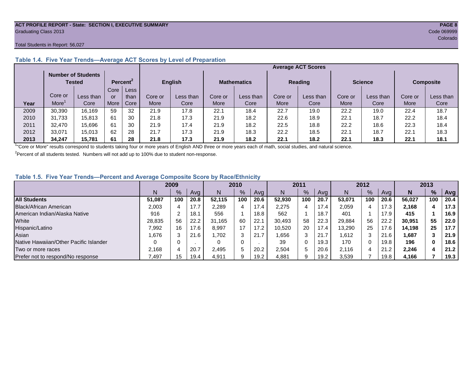#### **ACT PROFILE REPORT - State: SECTION I, EXECUTIVE SUMMARY PAGE 8** Graduating Class 2013 Code 069999

#### Total Students in Report: 56,027

|      |         |                                     |      |                      |         |                |         |                    |         | <b>Average ACT Scores</b> |         |                |         |                  |
|------|---------|-------------------------------------|------|----------------------|---------|----------------|---------|--------------------|---------|---------------------------|---------|----------------|---------|------------------|
|      |         | <b>Number of Students</b><br>Tested |      | Percent <sup>2</sup> |         | <b>English</b> |         | <b>Mathematics</b> |         | <b>Reading</b>            |         | <b>Science</b> |         | <b>Composite</b> |
|      |         |                                     | Core | Less                 |         |                |         |                    |         |                           |         |                |         |                  |
|      | Core or | Less than                           | or   | than                 | Core or | Less than      | Core or | Less than          | Core or | Less than                 | Core or | Less than      | Core or | Less than        |
| Year | More    | Core                                | More | Core                 | More    | Core           | More    | Core               | More    | Core                      | More    | Core           | More    | Core             |
| 2009 | 30,390  | 16.169                              | 59   | 32                   | 21.9    | 17.8           | 22.1    | 18.4               | 22.7    | 19.0                      | 22.2    | 19.0           | 22.4    | 18.7             |
| 2010 | 31.733  | 15.813                              | 61   | 30                   | 21.8    | 17.3           | 21.9    | 18.2               | 22.6    | 18.9                      | 22.1    | 18.7           | 22.2    | 18.4             |
| 2011 | 32.470  | 15,696                              | 61   | 30                   | 21.9    | 17.4           | 21.9    | 18.2               | 22.5    | 18.8                      | 22.2    | 18.6           | 22.3    | 18.4             |
| 2012 | 33.071  | 15.013                              | 62   | 28                   | 21.7    | 17.3           | 21.9    | 18.3               | 22.2    | 18.5                      | 22.1    | 18.7           | 22.7    | 18.3             |
| 2013 | 34.247  | 15,781                              | 61   | 28                   | 21.8    | 17.3           | 21.9    | 18.2               | 22.1    | 18.2                      | 22.1    | 18.3           | 22.1    | 18.1             |

## **Table 1.4. Five Year Trends—Average ACT Scores by Level of Preparation**

<sup>1</sup>"Core or More" results correspond to students taking four or more years of English AND three or more years each of math, social studies, and natural science.

 $2$ Percent of all students tested. Numbers will not add up to 100% due to student non-response.

### **Table 1.5. Five Year Trends—Percent and Average Composite Score by Race/Ethnicity**

|                                        | 2009             |     |      | 2010   |               |      | 2011   |     |      | 2012   |     |      | 2013   |     |      |
|----------------------------------------|------------------|-----|------|--------|---------------|------|--------|-----|------|--------|-----|------|--------|-----|------|
|                                        | N                | %   | Avg  | N      | $\frac{9}{6}$ | Avg  | N      | %   | Avg  | Ν      | %   | Ava  | N      | %   | Avg  |
| <b>All Students</b>                    | 51.087           | 100 | 20.8 | 52.115 | 100           | 20.6 | 52,930 | 100 | 20.7 | 53.071 | 100 | 20.6 | 56.027 | 100 | 20.4 |
| Black/African American                 | 2,003            |     | 17.7 | 2,289  | 4             | 17.4 | 2,275  |     | 17.4 | 2,059  | 4   | 17.3 | 2.168  |     | 17.3 |
| American Indian/Alaska Native          | 916              |     | 18.1 | 556    |               | 18.8 | 562    |     | 18.7 | 401    |     | 17.9 | 415    |     | 16.9 |
| White                                  | 28,835           | 56  | 22.2 | 31.165 | 60            | 22.1 | 30.493 | 58  | 22.3 | 29.884 | 56  | 22.2 | 30,951 | 55  | 22.0 |
| Hispanic/Latino                        | 7.992            | 16  | 17.6 | 8,997  | 17            | 17.2 | 10.520 | 20  | 17.4 | 13,290 | 25  | 17.6 | 14.198 | 25  | 17.7 |
| Asian                                  | .676             |     | 21.6 | .702   | 3             | 21.7 | .656   | 3   | 21.7 | 1.612  | 3   | 21.6 | 1,687  |     | 21.9 |
| Native Hawaiian/Other Pacific Islander |                  |     |      |        | $\Omega$      |      | 39     | 0   | 19.3 | 170    | 0   | 19.8 | 196    | 0   | 18.6 |
| Two or more races                      | 2.168            |     | 20.7 | 2.495  | 5             | 20.2 | 2,504  | 5   | 20.6 | 2.116  | 4   | 21.2 | 2,246  |     | 21.2 |
| Prefer not to respond/No response      | $^{\prime}$ ,497 | 15  | 19.4 | 4,911  | 9             | 19.2 | 4,881  | 9   | 19.2 | 3,539  |     | 19.8 | 4,166  |     | 19.3 |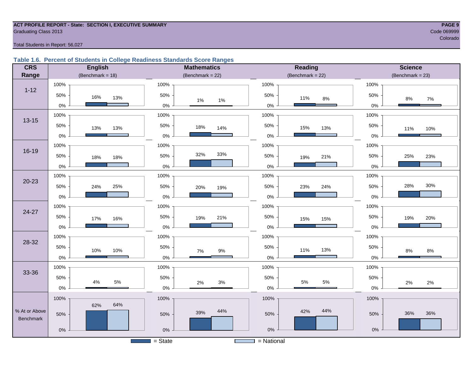#### **ACT PROFILE REPORT - State: SECTION I, EXECUTIVE SUMMARY PAGE 9** Code 069999 Craduating Class 2013 Code 069999 Code 069999 Code 069999 Code 069999 Code 069999 Code 069999 Code 069999 Code 069999 Code 069999 Code 069999 Code 069999 Code 069999 Code 069999 Code 069999 Code 069999 Code 069

e de la construcción de la construcción de la construcción de la construcción de la construcción de la construcción

#### Total Students in Report: 56,027

### **Table 1.6. Percent of Students in College Readiness Standards Score Ranges**

| <b>CRS</b>    | <b>English</b>        | <b>Mathematics</b>                              | <b>Reading</b>       | <b>Science</b>      |  |  |
|---------------|-----------------------|-------------------------------------------------|----------------------|---------------------|--|--|
| Range         | (Benchmark = $18$ )   | (Benchmark = $22$ )                             | $(Benchmark = 22)$   | (Benchmark = $23$ ) |  |  |
|               | 100%                  | 100%                                            | 100%                 | 100%                |  |  |
| $1 - 12$      | 50%<br>16%<br>13%     | 50%<br>1%<br>1%                                 | 50%<br>11%<br>$8\%$  | 50%<br>$8\%$<br>7%  |  |  |
|               | $0\%$                 | $0\%$                                           | $0\%$                | $0\%$               |  |  |
| $13 - 15$     | 100%                  | 100%                                            | 100%                 | 100%                |  |  |
|               | 50%<br>13%<br>13%     | 50%<br>18%<br>14%                               | 50%<br>15%<br>13%    | 50%<br>11%<br>10%   |  |  |
|               | $0\%$                 | 0%                                              | $0\%$                | $0\%$               |  |  |
|               | 100%                  | 100%                                            | 100%                 | 100%                |  |  |
| 16-19         | 50%<br>18%<br>18%     | 32%<br>33%<br>50%                               | 50%<br>21%<br>19%    | 25%<br>50%<br>23%   |  |  |
|               | $0\%$                 | 0%                                              | $0\%$                | $0\%$               |  |  |
|               | 100%                  | 100%                                            | 100%                 | 100%                |  |  |
| $20 - 23$     | 50%<br>24%<br>25%     | 50%<br>20%<br>19%                               | 50%<br>24%<br>23%    | 30%<br>28%<br>50%   |  |  |
|               | 0%                    | 0%                                              | $0\%$                | $0\%$               |  |  |
|               | 100%                  | 100%                                            | 100%                 | 100%                |  |  |
| 24-27         | 50%<br>17%<br>16%     | 50%<br>21%<br>19%                               | 50%<br>15%<br>15%    | 50%<br>20%<br>19%   |  |  |
|               | $0\%$                 | 0%                                              | $0\%$                | 0%                  |  |  |
| 28-32         | 100%                  | 100%                                            | 100%                 | 100%                |  |  |
|               | 50%<br>10%<br>10%     | 50%<br>$9\%$<br>7%                              | $50\%$<br>13%<br>11% | 50%<br>8%<br>$8\%$  |  |  |
|               | $0\%$                 | 0%                                              | $0\%$                | $0\%$               |  |  |
| 33-36         | 100%                  | 100%                                            | 100%                 | 100%                |  |  |
|               | 50%<br>$5\%$<br>$4\%$ | 50%<br>$3%$                                     | 50%<br>$5\%$<br>5%   | 50%                 |  |  |
|               | $0\%$                 | 2%<br>$0\%$                                     | $0\%$                | 2%<br>2%<br>$0\%$   |  |  |
|               | 100%                  | 100%                                            | 100%                 | 100%                |  |  |
| % At or Above | 64%<br>62%            | 44%                                             | 44%<br>42%           |                     |  |  |
| Benchmark     | 50%                   | 39%<br>50%                                      | 50%                  | 36%<br>36%<br>50%   |  |  |
|               | $0\%$                 | $0\%$                                           | $0\%$                | $0\%$               |  |  |
|               |                       | $=$ State<br><u> Time and the second second</u> | = National           |                     |  |  |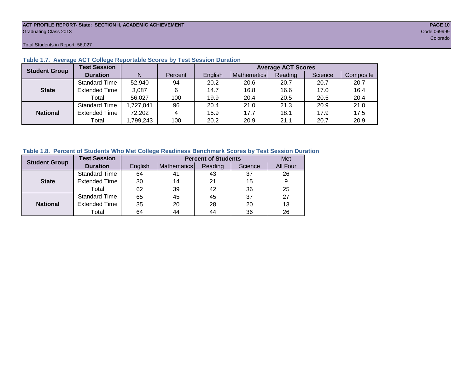#### **ACT PROFILE REPORT- State: SECTION II, ACADEMIC ACHIEVEMENT PAGE 10** Graduating Class 2013 Code 069999

Total Students in Report: 56,027

|                                      | <b>Test Session</b>  |             |         | <b>Average ACT Scores</b> |             |         |         |           |  |  |  |  |  |
|--------------------------------------|----------------------|-------------|---------|---------------------------|-------------|---------|---------|-----------|--|--|--|--|--|
| <b>Student Group</b><br><b>State</b> | <b>Duration</b>      | N           | Percent | English                   | Mathematics | Reading | Science | Composite |  |  |  |  |  |
|                                      | <b>Standard Time</b> | 52,940      | 94      | 20.2                      | 20.6        | 20.7    | 20.7    | 20.7      |  |  |  |  |  |
|                                      | <b>Extended Time</b> | 3,087       | 6       | 14.7                      | 16.8        | 16.6    | 17.0    | 16.4      |  |  |  |  |  |
|                                      | Total                | 56,027      | 100     | 19.9                      | 20.4        | 20.5    | 20.5    | 20.4      |  |  |  |  |  |
|                                      | <b>Standard Time</b> | 1,727,041   | 96      | 20.4                      | 21.0        | 21.3    | 20.9    | 21.0      |  |  |  |  |  |
| <b>National</b>                      | <b>Extended Time</b> | 72,202<br>4 |         | 15.9                      | 17.7        | 18.1    | 17.9    | 17.5      |  |  |  |  |  |
|                                      | Total                | ,799,243    | 100     | 20.2                      | 20.9        | 21.1    | 20.7    | 20.9      |  |  |  |  |  |

### **Table 1.7. Average ACT College Reportable Scores by Test Session Duration**

#### **Table 1.8. Percent of Students Who Met College Readiness Benchmark Scores by Test Session Duration**

| <b>Student Group</b> | <b>Test Session</b>  |         | <b>Percent of Students</b> |         |         |          |  |  |  |  |  |
|----------------------|----------------------|---------|----------------------------|---------|---------|----------|--|--|--|--|--|
|                      | <b>Duration</b>      | English | Mathematics                | Reading | Science | All Four |  |  |  |  |  |
|                      | Standard Time        | 64      | 41                         | 43      | 37      | 26       |  |  |  |  |  |
| <b>State</b>         | <b>Extended Time</b> | 30      | 14                         | 21      | 15      | 9        |  |  |  |  |  |
|                      | Total                | 62      | 39                         | 42      | 36      | 25       |  |  |  |  |  |
|                      | <b>Standard Time</b> | 65      | 45                         | 45      | 37      | 27       |  |  |  |  |  |
| <b>National</b>      | <b>Extended Time</b> | 35      | 20                         | 28      | 20      | 13       |  |  |  |  |  |
|                      | Total                | 64      | 44                         | 44      | 36      | 26       |  |  |  |  |  |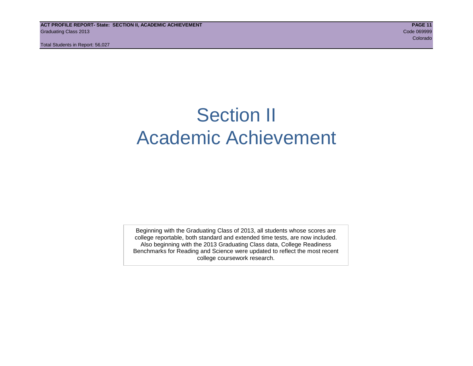## Section II Academic Achievement

Beginning with the Graduating Class of 2013, all students whose scores are college reportable, both standard and extended time tests, are now included. Also beginning with the 2013 Graduating Class data, College Readiness Benchmarks for Reading and Science were updated to reflect the most recent college coursework research.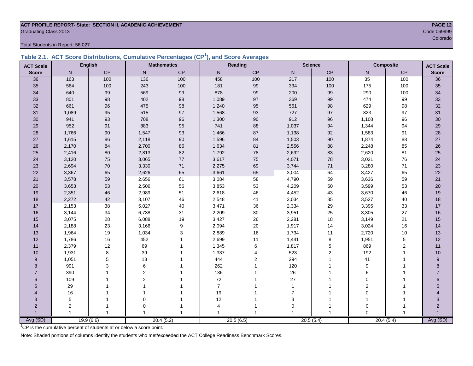## **ACT PROFILE REPORT- State: SECTION II, ACADEMIC ACHIEVEMENT PAGE 12** Code 069999<br>Colorado

Total Students in Report: 56,027

|  | Table 2.1. ACT Score Distributions, Cumulative Percentages (CP <sup>1</sup> ), and Score Averages |  |  |  |
|--|---------------------------------------------------------------------------------------------------|--|--|--|
|  |                                                                                                   |  |  |  |

| <b>ACT Scale</b>      |                | <b>English</b> |                | <b>Mathematics</b> | <b>Reading</b> |                | <b>Science</b> |                | <b>Composite</b> | <b>ACT Scale</b> |                 |
|-----------------------|----------------|----------------|----------------|--------------------|----------------|----------------|----------------|----------------|------------------|------------------|-----------------|
| <b>Score</b>          | N              | CP             | $\mathsf{N}$   | $\mathsf{CP}$      | N              | CP             | ${\sf N}$      | CP             | N                | $\mathsf{CP}$    | <b>Score</b>    |
| 36                    | 163            | 100            | 136            | 100                | 458            | 100            | 217            | 100            | 35               | 100              | $\overline{36}$ |
| 35                    | 564            | 100            | 243            | 100                | 181            | 99             | 334            | 100            | 175              | 100              | 35              |
| 34                    | 640            | 99             | 569            | 99                 | 878            | 99             | 200            | 99             | 290              | 100              | 34              |
| 33                    | 801            | 98             | 402            | 98                 | 1,089          | 97             | 369            | 99             | 474              | 99               | 33              |
| 32                    | 661            | 96             | 475            | $98\,$             | 1,240          | 95             | 561            | $98\,$         | 629              | 98               | $32\,$          |
| 31                    | 1,089          | 95             | 515            | 97                 | 1,568          | 93             | 727            | 97             | 823              | 97               | 31              |
| 30                    | 941            | 93             | 708            | 96                 | 1,300          | 90             | 912            | 96             | 1,108            | 96               | 30              |
| 29                    | 952            | 91             | 883            | 95                 | 741            | 88             | 1,037          | 94             | 1,344            | 94               | 29              |
| 28                    | 1,766          | 90             | 1,547          | 93                 | 1,466          | 87             | 1,138          | 92             | 1,583            | 91               | 28              |
| 27                    | 1,615          | 86             | 2,118          | $90\,$             | 1,596          | 84             | 1,503          | $90\,$         | 1,874            | 88               | $27\,$          |
| 26                    | 2,170          | 84             | 2,700          | 86                 | 1,634          | 81             | 2,556          | 88             | 2,248            | 85               | 26              |
| 25                    | 2,416          | 80             | 2,813          | 82                 | 1,792          | 78             | 2,692          | 83             | 2,620            | 81               | 25              |
| 24                    | 3,120          | 75             | 3,065          | 77                 | 3,617          | 75             | 4,071          | 78             | 3,021            | 76               | 24              |
| 23                    | 2,694          | 70             | 3,330          | $71$               | 2,275          | 69             | 3,744          | $71$           | 3,280            | 71               | 23              |
| 22                    | 3,367          | 65             | 2,626          | 65                 | 3,661          | 65             | 3,004          | 64             | 3,427            | 65               | 22              |
| 21                    | 3,578          | 59             | 2,656          | 61                 | 3,084          | 58             | 4,790          | 59             | 3,636            | 59               | 21              |
| 20                    | 3,653          | 53             | 2,506          | 56                 | 3,853          | 53             | 4,209          | 50             | 3,599            | 53               | 20              |
| 19                    | 2,351          | 46             | 2,989          | 51                 | 2,618          | 46             | 4,452          | 43             | 3,670            | 46               | 19              |
| 18                    | 2,272          | 42             | 3,107          | 46                 | 2,548          | 41             | 3,034          | 35             | 3,527            | 40               | 18              |
| 17                    | 2,153          | 38             | 5,027          | $40\,$             | 3,471          | 36             | 2,334          | 29             | 3,395            | 33               | 17              |
| 16                    | 3,144          | 34             | 6,738          | 31                 | 2,209          | 30             | 3,951          | 25             | 3,305            | 27               | 16              |
| 15                    | 3,075          | 28             | 6,088          | 19                 | 3,427          | 26             | 2,281          | 18             | 3,149            | 21               | 15              |
| 14                    | 2,188          | 23             | 3,166          | 9                  | 2,094          | 20             | 1,917          | 14             | 3,024            | 16               | 14              |
| 13                    | 1,964          | 19             | 1,034          | $\mathsf 3$        | 2,889          | 16             | 1,734          | 11             | 2,720            | $10$             | 13              |
| 12                    | 1,786          | 16             | 452            | $\overline{1}$     | 2,699          | 11             | 1,441          | 8              | 1,951            | 5                | 12              |
| 11                    | 2,379          | 12             | 69             |                    | 1,345          | 6              | 1,817          | 5              | 869              | 2                | 11              |
| 10                    | 1,931          | 8              | 39             |                    | 1,337          | 4              | 523            | $\overline{2}$ | 192              | 1                | 10              |
| 9                     | 1,051          | 5              | 13             |                    | 444            | $\overline{2}$ | 294            | 1              | 41               |                  | 9               |
| 8                     | 991            | 3              | 6              |                    | 262            |                | 120            |                | 9                |                  | 8               |
| $\overline{7}$        | 390            |                | $\overline{2}$ |                    | 136            |                | 26             |                | 6                |                  | $\overline{7}$  |
| 6                     | 109            |                | $\overline{2}$ |                    | 72             |                | 27             | 1              | $\mathbf 0$      |                  | $6\phantom{a}$  |
| 5                     | 29             |                | $\overline{1}$ |                    | $\overline{7}$ |                | $\mathbf{1}$   |                | $\overline{2}$   |                  | 5               |
| $\boldsymbol{\Delta}$ | 16             |                |                |                    | 19             |                | $\overline{7}$ |                | $\mathbf 0$      |                  |                 |
| 3                     | 5              |                | $\mathbf 0$    |                    | 12             |                | 3              | 1              | $\mathbf{1}$     |                  | 3               |
| $\overline{2}$        | 2              |                | $\mathbf 0$    |                    | 4              |                | $\mathbf 0$    | -1             | $\mathbf 0$      |                  | $\overline{2}$  |
|                       | $\overline{1}$ |                | 1              |                    | $\mathbf{1}$   | 1              |                | 1              | $\Omega$         |                  |                 |
| Avg (SD)              |                | 19.9(6.6)      |                | 20.4(5.2)          |                | 20.5(6.5)      |                | 20.5(5.4)      |                  | 20.4(5.4)        | Avg (SD)        |

en de la construction de la construction de la construction de la construction de la construction de la construction de la construction de la construction de la construction de la construction de la construction de la cons

<sup>1</sup>CP is the cumulative percent of students at or below a score point.

Note: Shaded portions of columns identify the students who met/exceeded the ACT College Readiness Benchmark Scores.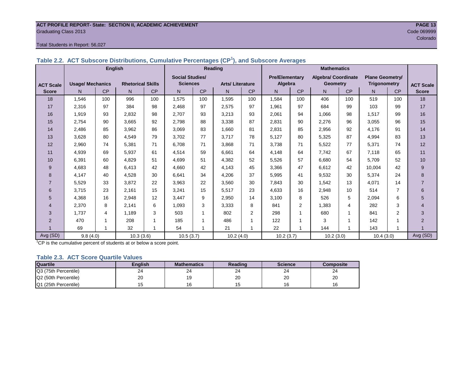#### **ACT PROFILE REPORT- State: SECTION II, ACADEMIC ACHIEVEMENT PAGE 13 Graduating Class 2013** Code 069999 Code 069999

**ACT Scale Score**

#### Total Students in Report: 56,027

|                  |                         | Table 2.2. ACT Subscore Distributions, Cumulative Fercentages (CF), and Subscore Averages |                          |           |                        |           |                        |                |                       |     |                            |           |                        |                |             |  |
|------------------|-------------------------|-------------------------------------------------------------------------------------------|--------------------------|-----------|------------------------|-----------|------------------------|----------------|-----------------------|-----|----------------------------|-----------|------------------------|----------------|-------------|--|
|                  |                         | <b>English</b>                                                                            |                          |           |                        |           | Reading                |                |                       |     | <b>Mathematics</b>         |           |                        |                |             |  |
|                  |                         |                                                                                           |                          |           | <b>Social Studies/</b> |           |                        |                | <b>Pre/Elementary</b> |     | <b>Algebra/ Coordinate</b> |           | <b>Plane Geometry/</b> |                |             |  |
| <b>ACT Scale</b> | <b>Usage/ Mechanics</b> |                                                                                           | <b>Rhetorical Skills</b> |           | <b>Sciences</b>        |           | <b>Arts/Literature</b> |                | Algebra               |     | <b>Geometry</b>            |           | Trigonometry           |                | <b>ACTS</b> |  |
| <b>Score</b>     | N.                      | CP                                                                                        | N.                       | <b>CP</b> | N.                     | <b>CP</b> | N                      | <b>CP</b>      | N                     | CP  | N                          | <b>CP</b> | N.                     | CP             | Sco         |  |
| 18               | 1,546                   | 100                                                                                       | 996                      | 100       | 1,575                  | 100       | 1,595                  | 100            | 1,584                 | 100 | 406                        | 100       | 519                    | 100            | 18          |  |
| 17               | 2,316                   | 97                                                                                        | 384                      | 98        | 2,468                  | 97        | 2,575                  | 97             | 1,961                 | 97  | 684                        | 99        | 103                    | 99             | 17          |  |
| 16               | 1,919                   | 93                                                                                        | 2,832                    | 98        | 2,707                  | 93        | 3,213                  | 93             | 2,061                 | 94  | 1,066                      | 98        | 1,517                  | 99             | 16          |  |
| 15               | 2,754                   | 90                                                                                        | 3,665                    | 92        | 2,798                  | 88        | 3,338                  | 87             | 2,831                 | 90  | 2,276                      | 96        | 3,055                  | 96             | 15          |  |
| 14               | 2,486                   | 85                                                                                        | 3,962                    | 86        | 3,069                  | 83        | 1,660                  | 81             | 2,831                 | 85  | 2,956                      | 92        | 4,176                  | 91             | 14          |  |
| 13               | 3,628                   | 80                                                                                        | 4,549                    | 79        | 3,702                  | 77        | 3,717                  | 78             | 5,127                 | 80  | 5,325                      | 87        | 4,994                  | 83             | 13          |  |
| 12               | 2,960                   | 74                                                                                        | 5.381                    | 71        | 6,708                  | 71        | 3,868                  | 71             | 3,738                 | 71  | 5,522                      | 77        | 5,371                  | 74             | 12          |  |
| 11               | 4,939                   | 69                                                                                        | 5,937                    | 61        | 4,514                  | 59        | 6,661                  | 64             | 4,148                 | 64  | 7,742                      | 67        | 7,118                  | 65             | 11          |  |
| 10               | 6.391                   | 60                                                                                        | 4,829                    | 51        | 4,699                  | 51        | 4,382                  | 52             | 5,526                 | 57  | 6,680                      | 54        | 5,709                  | 52             | 10          |  |
| 9                | 4,683                   | 48                                                                                        | 6,413                    | 42        | 4,660                  | 42        | 4,143                  | 45             | 3,366                 | 47  | 6,612                      | 42        | 10,004                 | 42             | 9           |  |
| 8                | 4,147                   | 40                                                                                        | 4,528                    | 30        | 6,641                  | 34        | 4,206                  | 37             | 5,995                 | 41  | 9,532                      | 30        | 5,374                  | 24             | 8           |  |
| $\overline{7}$   | 5,529                   | 33                                                                                        | 3,872                    | 22        | 3,963                  | 22        | 3,560                  | 30             | 7.843                 | 30  | 1,542                      | 13        | 4,071                  | 14             |             |  |
| 6                | 3,715                   | 23                                                                                        | 2,161                    | 15        | 3,241                  | 15        | 5,517                  | 23             | 4,633                 | 16  | 2,948                      | 10        | 514                    | $\overline{7}$ | 6           |  |
| 5                | 4,368                   | 16                                                                                        | 2,948                    | 12        | 3,447                  | 9         | 2,950                  | 14             | 3,100                 | 8   | 526                        | 5         | 2,094                  | 6              | 5           |  |
| 4                | 2,370                   | 8                                                                                         | 2.141                    | 6         | 1,093                  | 3         | 3,333                  | 8              | 841                   | 2   | 1,383                      | 4         | 282                    | 3              | 4           |  |
| 3                | 1,737                   | 4                                                                                         | 1,189                    | 3         | 503                    |           | 802                    | $\overline{2}$ | 298                   |     | 680                        |           | 841                    | $\overline{2}$ | 3           |  |
| $\overline{2}$   | 470                     |                                                                                           | 208                      |           | 185                    |           | 486                    |                | 122                   |     | 3                          |           | 142                    |                | 2           |  |
|                  | 69                      |                                                                                           | 32                       |           | 54                     |           | 21                     |                | 22                    |     | 144                        |           | 143                    |                |             |  |

Avg (SD) 9.8 (4.0) 10.3 (3.6) 10.5 (3.7) 10.2 (4.0) 10.2 (3.7) 10.2 (3.0) 10.4 (3.0) Avg (SD)

**Table 2.2. ACT Subscore Distributions, Cumulative Percentages (CP<sup>1</sup> ), and Subscore Averages**

 ${}^{1}$ CP is the cumulative percent of students at or below a score point.

#### **Table 2.3. ACT Score Quartile Values**

| <b>Quartile</b>      | <b>Enalish</b> | <b>Mathematics</b> | Reading | <b>Science</b> | Composite |
|----------------------|----------------|--------------------|---------|----------------|-----------|
| Q3 (75th Percentile) | 24             | 24                 | 24      | 24             | 24        |
| Q2 (50th Percentile) | 20             |                    | 20      | 20             | 20        |
| Q1 (25th Percentile) |                | 16                 |         | 16             |           |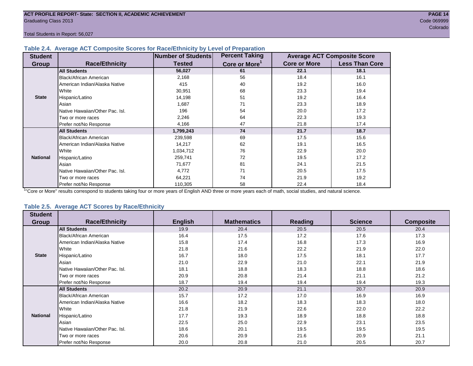#### **Table 2.4. Average ACT Composite Scores for Race/Ethnicity by Level of Preparation**

| <b>Student</b>  |                                 | <b>Number of Students</b> | <b>Percent Taking</b>     |                     | <b>Average ACT Composite Score</b> |
|-----------------|---------------------------------|---------------------------|---------------------------|---------------------|------------------------------------|
| <b>Group</b>    | <b>Race/Ethnicity</b>           | <b>Tested</b>             | Core or More <sup>1</sup> | <b>Core or More</b> | <b>Less Than Core</b>              |
|                 | <b>All Students</b>             | 56,027                    | 61                        | 22.1                | 18.1                               |
|                 | Black/African American          | 2,168                     | 56                        | 18.4                | 16.1                               |
|                 | American Indian/Alaska Native   | 415                       | 40                        | 19.2                | 16.0                               |
|                 | White                           | 30,951                    | 68                        | 23.3                | 19.4                               |
| <b>State</b>    | Hispanic/Latino                 | 14,198                    | 51                        | 19.2                | 16.4                               |
|                 | Asian                           | 1,687                     | 71                        | 23.3                | 18.9                               |
|                 | Native Hawaiian/Other Pac. Isl. | 196                       | 54                        | 20.0                | 17.2                               |
|                 | I Two or more races             | 2,246                     | 64                        | 22.3                | 19.3                               |
|                 | Prefer not/No Response          | 4,166                     | 47                        | 21.8                | 17.4                               |
|                 | <b>All Students</b>             | 1,799,243                 | 74                        | 21.7                | 18.7                               |
|                 | Black/African American          | 239,598                   | 69                        | 17.5                | 15.6                               |
|                 | American Indian/Alaska Native   | 14,217                    | 62                        | 19.1                | 16.5                               |
|                 | <b>I</b> White                  | 1,034,712                 | 76                        | 22.9                | 20.0                               |
| <b>National</b> | Hispanic/Latino                 | 259,741                   | 72                        | 19.5                | 17.2                               |
|                 | Asian                           | 71,677                    | 81                        | 24.1                | 21.5                               |
|                 | Native Hawaiian/Other Pac. Isl. | 4,772                     | 71                        | 20.5                | 17.5                               |
|                 | Two or more races               | 64,221                    | 74                        | 21.9                | 19.2                               |
|                 | Prefer not/No Response          | 110,305                   | 58                        | 22.4                | 18.4                               |

<sup>1</sup>"Core or More" results correspond to students taking four or more years of English AND three or more years each of math, social studies, and natural science.

#### **Table 2.5. Average ACT Scores by Race/Ethnicity**

| <b>Student</b>  |                                 |                |                    |                |                |                  |
|-----------------|---------------------------------|----------------|--------------------|----------------|----------------|------------------|
| Group           | <b>Race/Ethnicity</b>           | <b>English</b> | <b>Mathematics</b> | <b>Reading</b> | <b>Science</b> | <b>Composite</b> |
|                 | <b>All Students</b>             | 19.9           | 20.4               | 20.5           | 20.5           | 20.4             |
|                 | Black/African American          | 16.4           | 17.5               | 17.2           | 17.6           | 17.3             |
|                 | American Indian/Alaska Native   | 15.8           | 17.4               | 16.8           | 17.3           | 16.9             |
|                 | White                           | 21.8           | 21.6               | 22.2           | 21.9           | 22.0             |
| <b>State</b>    | Hispanic/Latino                 | 16.7           | 18.0               | 17.5           | 18.1           | 17.7             |
|                 | Asian                           | 21.0           | 22.9               | 21.0           | 22.1           | 21.9             |
|                 | Native Hawaiian/Other Pac. Isl. | 18.1           | 18.8               | 18.3           | 18.8           | 18.6             |
|                 | Two or more races               | 20.9           | 20.8               | 21.4           | 21.1           | 21.2             |
|                 | Prefer not/No Response          | 18.7           | 19.4               | 19.4           | 19.4           | 19.3             |
|                 | <b>All Students</b>             | 20.2           | 20.9               | 21.1           | 20.7           | 20.9             |
|                 | <b>Black/African American</b>   | 15.7           | 17.2               | 17.0           | 16.9           | 16.9             |
|                 | American Indian/Alaska Native   | 16.6           | 18.2               | 18.3           | 18.3           | 18.0             |
|                 | White                           | 21.8           | 21.9               | 22.6           | 22.0           | 22.2             |
| <b>National</b> | Hispanic/Latino                 | 17.7           | 19.3               | 18.9           | 18.8           | 18.8             |
|                 | Asian                           | 22.5           | 25.0               | 22.9           | 23.1           | 23.5             |
|                 | Native Hawaiian/Other Pac. Isl. | 18.6           | 20.1               | 19.5           | 19.5           | 19.5             |
|                 | Two or more races               | 20.6           | 20.9               | 21.6           | 20.9           | 21.1             |
|                 | Prefer not/No Response          | 20.0           | 20.8               | 21.0           | 20.5           | 20.7             |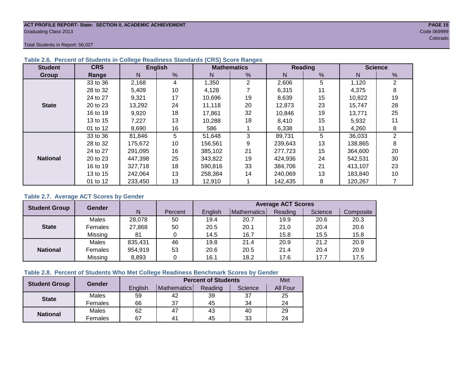#### **ACT PROFILE REPORT- State: SECTION II, ACADEMIC ACHIEVEMENT PAGE 15** Graduating Class 2013 Code 069999

Total Students in Report: 56,027

| <b>Student</b>  | <b>CRS</b> |         | <b>English</b> |         | <b>Mathematics</b> |         | Reading | <b>Science</b> |                |  |
|-----------------|------------|---------|----------------|---------|--------------------|---------|---------|----------------|----------------|--|
| Group           | Range      | N       | %              | N       | %                  | N       | %       | N              | %              |  |
|                 | 33 to 36   | 2,168   | 4              | 1,350   | $\overline{2}$     | 2,606   | 5       | 1,120          | 2              |  |
|                 | 28 to 32   | 5,409   | 10             | 4,128   |                    | 6,315   | 11      | 4.375          | 8              |  |
|                 | 24 to 27   | 9,321   | 17             | 10,696  | 19                 | 8,639   | 15      | 10,822         | 19             |  |
| <b>State</b>    | 20 to 23   | 13,292  | 24             | 11,118  | 20                 | 12,873  | 23      | 15,747         | 28             |  |
|                 | 16 to 19   | 9,920   | 18             | 17.861  | 32                 | 10.846  | 19      | 13.771         | 25             |  |
|                 | 13 to 15   | 7,227   | 13             | 10,288  | 18                 | 8,410   | 15      | 5,932          | 11             |  |
|                 | 01 to 12   | 8,690   | 16             | 586     |                    | 6,338   | 11      | 4,260          | 8              |  |
|                 | 33 to 36   | 81,846  | 5              | 51,648  | 3                  | 89,731  | 5       | 36,033         | $\overline{2}$ |  |
|                 | 28 to 32   | 175,672 | 10             | 156,561 | 9                  | 239,643 | 13      | 138,865        | 8              |  |
|                 | 24 to 27   | 291,095 | 16             | 385.102 | 21                 | 277.723 | 15      | 364,600        | 20             |  |
| <b>National</b> | 20 to 23   | 447,398 | 25             | 343,822 | 19                 | 424,936 | 24      | 542,531        | 30             |  |
|                 | 16 to 19   | 327,718 | 18             | 590,816 | 33                 | 384,706 | 21      | 413.107        | 23             |  |
|                 | 13 to 15   | 242.064 | 13             | 258.384 | 14                 | 240.069 | 13      | 183,840        | 10             |  |
|                 | 01 to 12   | 233,450 | 13             | 12,910  |                    | 142,435 | 8       | 120,267        |                |  |

#### **Table 2.6. Percent of Students in College Readiness Standards (CRS) Score Ranges**

#### **Table 2.7. Average ACT Scores by Gender**

| <b>Student Group</b> | <b>Gender</b> |         |         | <b>Average ACT Scores</b> |                    |         |         |           |  |  |  |  |
|----------------------|---------------|---------|---------|---------------------------|--------------------|---------|---------|-----------|--|--|--|--|
|                      |               | N       | Percent | English                   | <b>Mathematics</b> | Reading | Science | Composite |  |  |  |  |
|                      | Males         | 28,078  | 50      | 19.4                      | 20.7               | 19.9    | 20.6    | 20.3      |  |  |  |  |
| <b>State</b>         | Females       | 27,868  | 50      | 20.5                      | 20.1               | 21.0    | 20.4    | 20.6      |  |  |  |  |
|                      | Missing       | 81      | 0       | 14.5                      | 16.7               | 15.8    | 15.5    | 15.8      |  |  |  |  |
|                      | Males         | 835,431 | 46      | 19.8                      | 21.4               | 20.9    | 21.2    | 20.9      |  |  |  |  |
| <b>National</b>      | Females       | 954,919 | 53      | 20.6                      | 20.5               | 21.4    | 20.4    | 20.9      |  |  |  |  |
|                      | Missing       | 8,893   | 0       | 16.1                      | 18.2               | 17.6    | 17.7    | 17.5      |  |  |  |  |

### **Table 2.8. Percent of Students Who Met College Readiness Benchmark Scores by Gender**

| <b>Student Group</b> | Gender  |         | Met          |         |         |                 |
|----------------------|---------|---------|--------------|---------|---------|-----------------|
|                      |         | English | Mathematics  | Reading | Science | <b>All Four</b> |
| <b>State</b>         | Males   | 59      | 42           | 39      | 37      | 25              |
|                      | Females | 66      | 37           | 45      | 34      | 24              |
| <b>National</b>      | Males   | 62      | 47           | 43      | 40      | 29              |
|                      | Females | 67      | $4^{\prime}$ | 45      | 33      | 24              |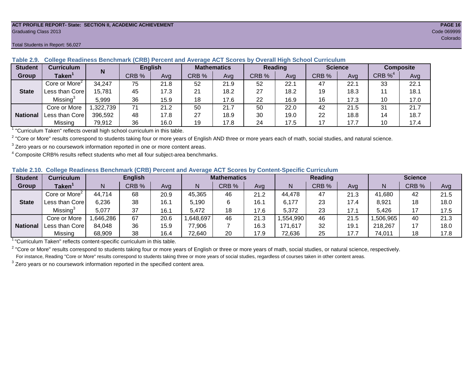#### **ACT PROFILE REPORT- State: SECTION II, ACADEMIC ACHIEVEMENT PAGE 16** Graduating Class 2013 Code 069999

#### Total Students in Report: 56,027

| <b>Student</b>  | <b>Curriculum</b>                                                            | N         | <b>English</b> |      |       | <b>Mathematics</b> | <b>Reading</b> |      | <b>Science</b> |      | <b>Composite</b> |      |
|-----------------|------------------------------------------------------------------------------|-----------|----------------|------|-------|--------------------|----------------|------|----------------|------|------------------|------|
| Group           | Taken $^{\rm \scriptscriptstyle I}$                                          |           | CRB %          | Avg  | CRB % | Avg                | CRB %          | Avg  | CRB %          | Ava  | CRB $\%^4$       | Avg  |
|                 | Core or More <sup>2</sup>                                                    | 34,247    | 75             | 21.8 | 52    | 21.9               | 52             | 22.1 | 47             | 22.1 | 33               | 22.1 |
| <b>State</b>    | Less than Core                                                               | 15,781    | 45             | 17.3 | 21    | 18.2               | 27             | 18.2 | 19             | 18.3 |                  | 18.1 |
|                 | Missing <sup>3</sup>                                                         | 5,999     | 36             | 15.9 | 18    | 17.6               | 22             | 16.9 | 16             | 17.3 | 10               | 17.0 |
|                 | Core or More                                                                 | 1,322,739 | 71             | 21.2 | 50    | 21.7               | 50             | 22.0 | 42             | 21.5 | 31               | 21.7 |
| <b>National</b> | Less than Core                                                               | 396,592   | 48             | 17.8 | 27    | 18.9               | 30             | 19.0 | 22             | 18.8 | 14               | 18.7 |
|                 | Missing                                                                      | 79,912    | 36             | 16.0 | 19    | 17.8               | 24             | 17.5 | 17             | 17.7 | 10               | 17.4 |
|                 | $1$ "Curriculum Taken" reflects overall bigh school ourrigulum in this toble |           |                |      |       |                    |                |      |                |      |                  |      |

**Table 2.9. College Readiness Benchmark (CRB) Percent and Average ACT Scores by Overall High School Curriculum**

"Curriculum Taken" reflects overall high school curriculum in this table.

 $^2$  "Core or More" results correspond to students taking four or more years of English AND three or more years each of math, social studies, and natural science.

 $3$  Zero years or no coursework information reported in one or more content areas.

 $4$  Composite CRB% results reflect students who met all four subject-area benchmarks.

|  |  |  |  |  | Table 2.10. College Readiness Benchmark (CRB) Percent and Average ACT Scores by Content-Specific Curriculum |
|--|--|--|--|--|-------------------------------------------------------------------------------------------------------------|
|--|--|--|--|--|-------------------------------------------------------------------------------------------------------------|

| <b>Student</b>  | Curriculum                |          | <b>English</b> |      |          | <b>Mathematics</b> |      |          | <b>Reading</b> |      |          | <b>Science</b> |      |  |
|-----------------|---------------------------|----------|----------------|------|----------|--------------------|------|----------|----------------|------|----------|----------------|------|--|
| Group           | <b>Taken</b>              |          | CRB %          | Avg  |          | CRB %              | Avg  | N        | CRB %          | Avg  | N        | CRB %          | Avg  |  |
|                 | Core or More <sup>2</sup> | 44,714   | 68             | 20.9 | 45,365   | 46                 | 21.2 | 44,478   | 47             | 21.3 | 41,680   | 42             | 21.5 |  |
| <b>State</b>    | Less than Core            | 6,236    | 38             | 16.1 | 5.190    |                    | 16.1 | 6,177    | 23             | 17.4 | 8,921    | 18             | 18.0 |  |
|                 | Missing <sup>3</sup>      | 5,077    | 37             | 16.1 | 5,472    | 18                 | 17.6 | 5,372    | 23             | 17.1 | 5,426    |                | 17.5 |  |
|                 | Core or More              | ,646,286 | 67             | 20.6 | ,648,697 | 46                 | 21.3 | .554,990 | 46             | 21.5 | ,506,965 | 40             | 21.3 |  |
| <b>National</b> | Less than Core            | 84,048   | 36             | 15.9 | 77,906   |                    | 16.3 | 171,617  | 32             | 19.1 | 218,267  |                | 18.0 |  |
|                 | Missing                   | 68,909   | 38             | 16.4 | 72,640   | 20                 | 17.9 | 72,636   | 25             | 17.7 | 74,011   | 18             | 17.8 |  |

<sup>1</sup> "Curriculum Taken" reflects content-specific curriculum in this table.

<sup>2</sup> "Core or More" results correspond to students taking four or more years of English or three or more years of math, social studies, or natural science, respectively. For instance, Reading "Core or More" results correspond to students taking three or more years of social studies, regardless of courses taken in other content areas.

 $3$  Zero years or no coursework information reported in the specified content area.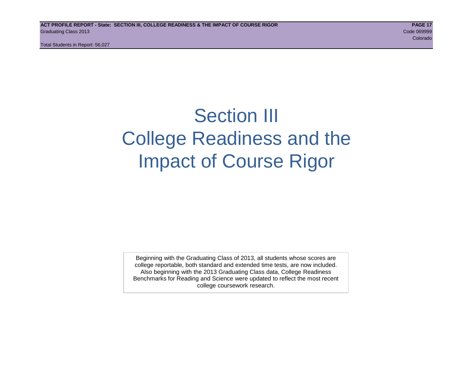## Section III College Readiness and the Impact of Course Rigor

Beginning with the Graduating Class of 2013, all students whose scores are college reportable, both standard and extended time tests, are now included. Also beginning with the 2013 Graduating Class data, College Readiness Benchmarks for Reading and Science were updated to reflect the most recent college coursework research.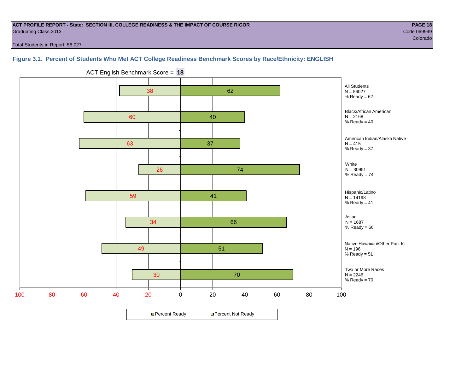#### **ACT PROFILE REPORT - State: SECTION III, COLLEGE READINESS & THE IMPACT OF COURSE RIGOR PAGE 18** Graduating Class 2013 Code 069999

e de la construcción de la construcción de la construcción de la construcción de la construcción de la construcción

Total Students in Report: 56,027

## **Figure 3.1. Percent of Students Who Met ACT College Readiness Benchmark Scores by Race/Ethnicity: ENGLISH**



ACT English Benchmark Score = **18**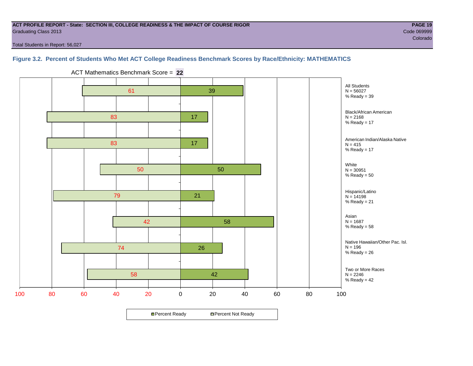#### **ACT PROFILE REPORT - State: SECTION III, COLLEGE READINESS & THE IMPACT OF COURSE RIGOR PAGE 19** Graduating Class 2013 Code 069999

Total Students in Report: 56,027

## **Figure 3.2. Percent of Students Who Met ACT College Readiness Benchmark Scores by Race/Ethnicity: MATHEMATICS**



ACT Mathematics Benchmark Score = **22**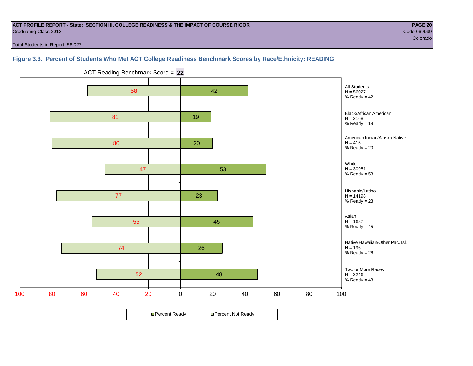#### **ACT PROFILE REPORT - State: SECTION III, COLLEGE READINESS & THE IMPACT OF COURSE RIGOR PAGE 20** Graduating Class 2013 Code 069999

e de la construcción de la construcción de la construcción de la construcción de la construcción de la construcción

Total Students in Report: 56,027

#### **Figure 3.3. Percent of Students Who Met ACT College Readiness Benchmark Scores by Race/Ethnicity: READING**



ACT Reading Benchmark Score = **22**

**□ Percent Ready DPercent Not Ready**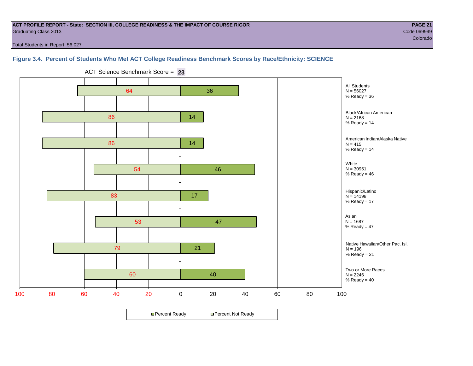#### **ACT PROFILE REPORT - State: SECTION III, COLLEGE READINESS & THE IMPACT OF COURSE RIGOR PAGE 21** Graduating Class 2013 Code 069999

e de la construcción de la construcción de la construcción de la construcción de la construcción de la construcción

Total Students in Report: 56,027

#### **Figure 3.4. Percent of Students Who Met ACT College Readiness Benchmark Scores by Race/Ethnicity: SCIENCE**



ACT Science Benchmark Score = **23**

**□ Percent Ready DPercent Not Ready**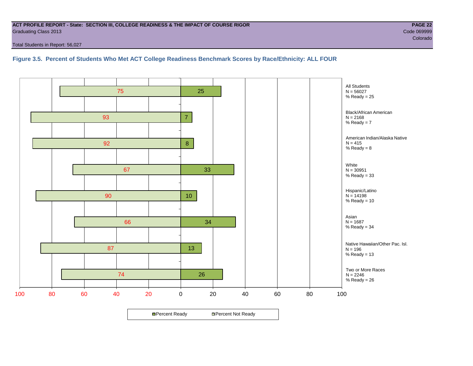#### **ACT PROFILE REPORT - State: SECTION III, COLLEGE READINESS & THE IMPACT OF COURSE RIGOR PAGE 22** Graduating Class 2013 Code 069999

Total Students in Report: 56,027

**Figure 3.5. Percent of Students Who Met ACT College Readiness Benchmark Scores by Race/Ethnicity: ALL FOUR**

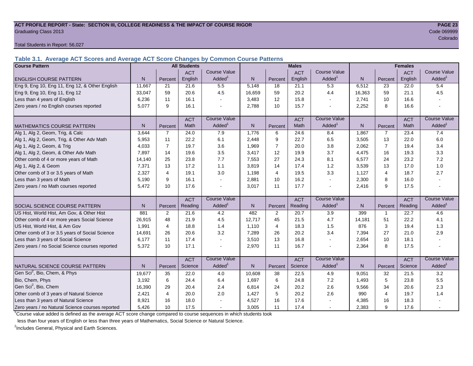#### **ACT PROFILE REPORT - State: SECTION III, COLLEGE READINESS & THE IMPACT OF COURSE RIGOR PAGE 23** Graduating Class 2013 Code 069999

Total Students in Report: 56,027

**Table 3.1. Average ACT Scores and Average ACT Score Changes by Common Course Patterns**

| <b>Course Pattern</b>                            |        |                | <b>All Students</b> |                          |              |                | <b>Males</b> |                          |              | <b>Females</b> |            |                        |
|--------------------------------------------------|--------|----------------|---------------------|--------------------------|--------------|----------------|--------------|--------------------------|--------------|----------------|------------|------------------------|
|                                                  |        |                | <b>ACT</b>          | <b>Course Value</b>      |              |                | <b>ACT</b>   | <b>Course Value</b>      |              |                | <b>ACT</b> | <b>Course Value</b>    |
| <b>ENGLISH COURSE PATTERN</b>                    | N.     | Percent        | English             | Added <sup>1</sup>       | N            | Percent        | English      | Added <sup>1</sup>       | N            | Percent        | English    | A d d e d <sup>1</sup> |
| Eng 9, Eng 10, Eng 11, Eng 12, & Other English   | 11,667 | 21             | 21.6                | 5.5                      | 5,148        | 18             | 21.1         | 5.3                      | 6,512        | 23             | 22.0       | 5.4                    |
| Eng 9, Eng 10, Eng 11, Eng 12                    | 33,047 | 59             | 20.6                | 4.5                      | 16,659       | 59             | 20.2         | 4.4                      | 16,363       | 59             | 21.1       | 4.5                    |
| Less than 4 years of English                     | 6,236  | 11             | 16.1                |                          | 3,483        | 12             | 15.8         | $\sim$                   | 2,741        | 10             | 16.6       |                        |
| Zero years / no English courses reported         | 5,077  | 9              | 16.1                |                          | 2,788        | 10             | 15.7         | $\overline{a}$           | 2,252        | 8              | 16.6       |                        |
|                                                  |        |                | <b>ACT</b>          | <b>Course Value</b>      |              |                | <b>ACT</b>   | <b>Course Value</b>      |              |                | <b>ACT</b> | <b>Course Value</b>    |
| MATHEMATICS COURSE PATTERN                       | N.     | Percent        | Math                | Added <sup>1</sup>       | $\mathsf{N}$ | Percent        | Math         | Added <sup>1</sup>       | $\mathsf{N}$ | Percent        | Math       | A d d e d <sup>1</sup> |
| Alg 1, Alg 2, Geom, Trig, & Calc                 | 3.644  | $\overline{7}$ | 24.0                | 7.9                      | 1,776        | 6              | 24.6         | 8.4                      | 1,867        | $\overline{7}$ | 23.4       | 7.4                    |
| Alg 1, Alg 2, Geom, Trig, & Other Adv Math       | 5,953  | 11             | 22.2                | 6.1                      | 2,448        | 9              | 22.7         | 6.5                      | 3,505        | 13             | 22.0       | $6.0\,$                |
| Alg 1, Alg 2, Geom, & Trig                       | 4.033  | $\overline{7}$ | 19.7                | 3.6                      | 1,969        | $\overline{7}$ | 20.0         | 3.8                      | 2,062        | $\overline{7}$ | 19.4       | 3.4                    |
| Alg 1, Alg 2, Geom, & Other Adv Math             | 7,897  | 14             | 19.6                | 3.5                      | 3,417        | 12             | 19.9         | 3.7                      | 4,475        | 16             | 19.3       | 3.3                    |
| Other comb of 4 or more years of Math            | 14,140 | 25             | 23.8                | 7.7                      | 7,553        | 27             | 24.3         | 8.1                      | 6,577        | 24             | 23.2       | 7.2                    |
| Alg 1, Alg 2, & Geom                             | 7.371  | 13             | 17.2                | 1.1                      | 3,819        | 14             | 17.4         | 1.2                      | 3,539        | 13             | 17.0       | 1.0                    |
| Other comb of 3 or 3.5 years of Math             | 2,327  | $\overline{4}$ | 19.1                | 3.0                      | 1,198        | $\overline{4}$ | 19.5         | 3.3                      | 1,127        | $\overline{4}$ | 18.7       | 2.7                    |
| Less than 3 years of Math                        | 5,190  | 9              | 16.1                |                          | 2,881        | 10             | 16.2         | $\mathbf{r}$             | 2,300        | 8              | 16.0       |                        |
| Zero years / no Math courses reported            | 5.472  | 10             | 17.6                |                          | 3,017        | 11             | 17.7         | $\blacksquare$           | 2,416        | 9              | 17.5       |                        |
|                                                  |        |                | <b>ACT</b>          | <b>Course Value</b>      |              |                | <b>ACT</b>   | <b>Course Value</b>      |              |                | <b>ACT</b> | <b>Course Value</b>    |
| <b>SOCIAL SCIENCE COURSE PATTERN</b>             | N.     | Percent        | Reading             | $A d d e d$ <sup>1</sup> | N            | Percent        | Reading      | Added                    | N            | Percent        | Reading    | A d d e d <sup>1</sup> |
| US Hist, World Hist, Am Gov, & Other Hist        | 881    | $\overline{2}$ | 21.6                | 4.2                      | 482          | 2              | 20.7         | 3.9                      | 399          | $\mathbf{1}$   | 22.7       | 4.6                    |
| Other comb of 4 or more years Social Science     | 26,915 | 48             | 21.9                | 4.5                      | 12,717       | 45             | 21.5         | 4.7                      | 14,181       | 51             | 22.2       | 4.1                    |
| US Hist, World Hist, & Am Gov                    | 1,991  | 4              | 18.8                | 1.4                      | 1,110        | 4              | 18.3         | 1.5                      | 876          | 3              | 19.4       | 1.3                    |
| Other comb of 3 or 3.5 years of Social Science   | 14,691 | 26             | 20.6                | 3.2                      | 7,289        | 26             | 20.2         | 3.4                      | 7,394        | 27             | 21.0       | 2.9                    |
| Less than 3 years of Social Science              | 6,177  | 11             | 17.4                |                          | 3,510        | 13             | 16.8         | $\sim$                   | 2,654        | 10             | 18.1       |                        |
| Zero years / no Social Science courses reported  | 5,372  | 10             | 17.1                |                          | 2,970        | 11             | 16.7         | $\overline{\phantom{a}}$ | 2,364        | 8              | 17.5       |                        |
|                                                  |        |                | <b>ACT</b>          | <b>Course Value</b>      |              |                | <b>ACT</b>   | <b>Course Value</b>      |              |                | <b>ACT</b> | <b>Course Value</b>    |
| NATURAL SCIENCE COURSE PATTERN                   | N.     | Percent        | Science             | Added <sup>1</sup>       | N            | Percent        | Science      | Added <sup>1</sup>       | $\mathsf{N}$ | Percent        | Science    | A d d e d <sup>1</sup> |
| Gen Sci <sup>2</sup> , Bio, Chem, & Phys         | 19,677 | 35             | 22.0                | 4.0                      | 10,608       | 38             | 22.5         | 4.9                      | 9,051        | 32             | 21.5       | 3.2                    |
| Bio, Chem, Phys                                  | 3,192  | 6              | 24.4                | 6.4                      | 1,697        | 6              | 24.8         | 7.2                      | 1,493        | 5              | 23.8       | 5.5                    |
| Gen Sci <sup>2</sup> , Bio, Chem                 | 16,390 | 29             | 20.4                | 2.4                      | 6,814        | 24             | 20.2         | 2.6                      | 9,566        | 34             | 20.6       | 2.3                    |
| Other comb of 3 years of Natural Science         | 2,421  | $\overline{4}$ | 20.0                | 2.0                      | 1,427        | 5              | 20.2         | 2.6                      | 990          | $\overline{4}$ | 19.7       | 1.4                    |
| Less than 3 years of Natural Science             | 8,921  | 16             | 18.0                |                          | 4,527        | 16             | 17.6         |                          | 4,385        | 16             | 18.3       |                        |
| Zero years / no Natural Science courses reported | 5,426  | 10             | 17.5                |                          | 3,005        | 11             | 17.4         | $\sim$                   | 2,383        | 9              | 17.6       |                        |

<sup>1</sup>Course value added is defined as the average ACT score change compared to course sequences in which students took

less than four years of English or less than three years of Mathematics, Social Science or Natural Science.

<sup>2</sup>Includes General, Physical and Earth Sciences.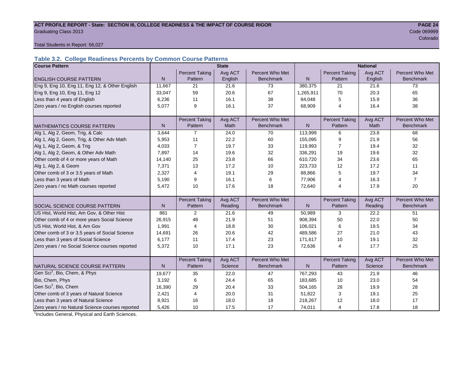#### ACT PROFILE REPORT - State: SECTION III, COLLEGE READINESS & THE IMPACT OF COURSE RIGOR **PAGE 24 Graduating Class 2013** Code 069999 Code 069999 Code 069999 Code 069999 Code 069999 Code 069999 Code 069999 Code 0

e de la construcción de la construcción de la construcción de la construcción de la construcción de la construcción

Total Students in Report: 56,027

## **Table 3.2. College Readiness Percents by Common Course Patterns**

| <b>Course Pattern</b>                            |              |                       | <b>State</b> |                  |              |                       | <b>National</b> |                  |
|--------------------------------------------------|--------------|-----------------------|--------------|------------------|--------------|-----------------------|-----------------|------------------|
|                                                  |              | <b>Percent Taking</b> | Avg ACT      | Percent Who Met  |              | <b>Percent Taking</b> | Avg ACT         | Percent Who Met  |
| <b>ENGLISH COURSE PATTERN</b>                    | $\mathsf{N}$ | Pattern               | English      | <b>Benchmark</b> | N            | Pattern               | English         | <b>Benchmark</b> |
| Eng 9, Eng 10, Eng 11, Eng 12, & Other English   | 11,667       | 21                    | 21.6         | 73               | 380,375      | 21                    | 21.6            | 73               |
| Eng 9, Eng 10, Eng 11, Eng 12                    | 33,047       | 59                    | 20.6         | 67               | 1,265,911    | 70                    | 20.3            | 65               |
| Less than 4 years of English                     | 6,236        | 11                    | 16.1         | 38               | 84,048       | 5                     | 15.9            | 36               |
| Zero years / no English courses reported         | 5,077        | 9                     | 16.1         | 37               | 68,909       | $\overline{4}$        | 16.4            | 38               |
|                                                  |              |                       |              |                  |              |                       |                 |                  |
|                                                  |              | <b>Percent Taking</b> | Avg ACT      | Percent Who Met  |              | <b>Percent Taking</b> | Avg ACT         | Percent Who Met  |
| <b>MATHEMATICS COURSE PATTERN</b>                | N            | Pattern               | <b>Math</b>  | <b>Benchmark</b> | N            | Pattern               | Math            | <b>Benchmark</b> |
| Alg 1, Alg 2, Geom, Trig, & Calc                 | 3,644        | 7                     | 24.0         | 70               | 113,999      | 6                     | 23.8            | 68               |
| Alg 1, Alg 2, Geom, Trig, & Other Adv Math       | 5,953        | 11                    | 22.2         | 60               | 155,095      | 9                     | 21.9            | 56               |
| Alg 1, Alg 2, Geom, & Trig                       | 4,033        | $\overline{7}$        | 19.7         | 33               | 119,993      | 7                     | 19.4            | 32               |
| Alg 1, Alg 2, Geom, & Other Adv Math             | 7,897        | 14                    | 19.6         | 32               | 336,291      | 19                    | 19.6            | 32               |
| Other comb of 4 or more years of Math            | 14,140       | 25                    | 23.8         | 66               | 610,720      | 34                    | 23.6            | 65               |
| Alg 1, Alg 2, & Geom                             | 7,371        | 13                    | 17.2         | 10               | 223,733      | 12                    | 17.2            | 11               |
| Other comb of 3 or 3.5 years of Math             | 2,327        | $\overline{4}$        | 19.1         | 29               | 88,866       | 5                     | 19.7            | 34               |
| Less than 3 years of Math                        | 5.190        | 9                     | 16.1         | 6                | 77,906       | 4                     | 16.3            | $\overline{7}$   |
| Zero years / no Math courses reported            | 5,472        | 10                    | 17.6         | 18               | 72,640       | 4                     | 17.9            | 20               |
|                                                  |              |                       |              |                  |              |                       |                 |                  |
|                                                  |              | <b>Percent Taking</b> | Avg ACT      | Percent Who Met  |              | <b>Percent Taking</b> | Avg ACT         | Percent Who Met  |
| SOCIAL SCIENCE COURSE PATTERN                    | N            | Pattern               | Reading      | <b>Benchmark</b> | $\mathsf{N}$ | Pattern               | Reading         | <b>Benchmark</b> |
| US Hist, World Hist, Am Gov, & Other Hist        | 881          | 2                     | 21.6         | 49               | 50,989       | 3                     | 22.2            | 51               |
| Other comb of 4 or more years Social Science     | 26,915       | 48                    | 21.9         | 51               | 908,394      | 50                    | 22.0            | 50               |
| US Hist, World Hist, & Am Gov                    | 1,991        | 4                     | 18.8         | 30               | 106,021      | 6                     | 19.5            | 34               |
| Other comb of 3 or 3.5 years of Social Science   | 14,691       | 26                    | 20.6         | 42               | 489,586      | 27                    | 21.0            | 43               |
| Less than 3 years of Social Science              | 6,177        | 11                    | 17.4         | 23               | 171,617      | 10                    | 19.1            | 32               |
| Zero years / no Social Science courses reported  | 5,372        | 10                    | 17.1         | 23               | 72,636       | $\overline{4}$        | 17.7            | 25               |
|                                                  |              |                       |              |                  |              |                       |                 |                  |
|                                                  |              | <b>Percent Taking</b> | Avg ACT      | Percent Who Met  |              | <b>Percent Taking</b> | Avg ACT         | Percent Who Met  |
| NATURAL SCIENCE COURSE PATTERN                   | N            | Pattern               | Science      | <b>Benchmark</b> | N.           | Pattern               | Science         | <b>Benchmark</b> |
| Gen Sci <sup>1</sup> , Bio, Chem, & Phys         | 19,677       | 35                    | 22.0         | 47               | 767,293      | 43                    | 21.9            | 46               |
| Bio, Chem, Phys                                  | 3,192        | 6                     | 24.4         | 65               | 183,685      | 10                    | 23.0            | 54               |
| Gen Sci <sup>1</sup> , Bio, Chem                 | 16,390       | 29                    | 20.4         | 33               | 504,165      | 28                    | 19.9            | 28               |
| Other comb of 3 years of Natural Science         | 2,421        | $\overline{4}$        | 20.0         | 31               | 51,822       | 3                     | 19.1            | 25               |
| Less than 3 years of Natural Science             | 8,921        | 16                    | 18.0         | 18               | 218,267      | 12                    | 18.0            | 17               |
| Zero years / no Natural Science courses reported | 5,426        | 10                    | 17.5         | 17               | 74,011       | 4                     | 17.8            | 18               |

<sup>1</sup>Includes General, Physical and Earth Sciences.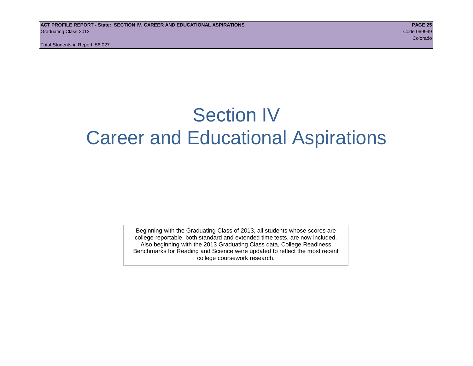## Section IV Career and Educational Aspirations

Beginning with the Graduating Class of 2013, all students whose scores are college reportable, both standard and extended time tests, are now included. Also beginning with the 2013 Graduating Class data, College Readiness Benchmarks for Reading and Science were updated to reflect the most recent college coursework research.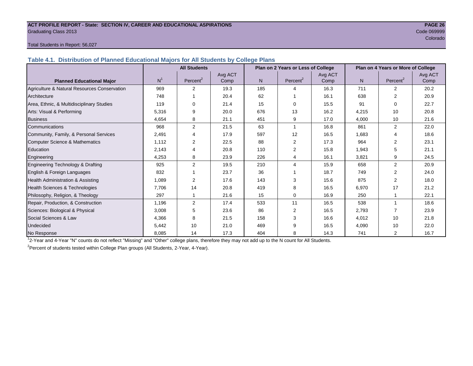#### **ACT PROFILE REPORT - State: SECTION IV, CAREER AND EDUCATIONAL ASPIRATIONS PAGE 26** Graduating Class 2013 Code 069999

e de la construcción de la construcción de la construcción de la construcción de la construcción de la construcción

#### Total Students in Report: 56,027

**Table 4.1. Distribution of Planned Educational Majors for All Students by College Plans**

|                                              |                | <b>All Students</b>  |         |     | Plan on 2 Years or Less of College |         | Plan on 4 Years or More of College |                         |         |  |
|----------------------------------------------|----------------|----------------------|---------|-----|------------------------------------|---------|------------------------------------|-------------------------|---------|--|
|                                              |                |                      | Avg ACT |     |                                    | Avg ACT |                                    |                         | Avg ACT |  |
| <b>Planned Educational Major</b>             | N <sup>1</sup> | Percent <sup>2</sup> | Comp    | N.  | Percent <sup>2</sup>               | Comp    | N                                  | Percent <sup>2</sup>    | Comp    |  |
| Agriculture & Natural Resources Conservation | 969            | 2                    | 19.3    | 185 | 4                                  | 16.3    | 711                                | $\overline{2}$          | 20.2    |  |
| Architecture                                 | 748            |                      | 20.4    | 62  |                                    | 16.1    | 638                                | 2                       | 20.9    |  |
| Area, Ethnic, & Multidisciplinary Studies    | 119            | $\Omega$             | 21.4    | 15  | 0                                  | 15.5    | 91                                 | $\Omega$                | 22.7    |  |
| Arts: Visual & Performing                    | 5,316          | 9                    | 20.0    | 676 | 13                                 | 16.2    | 4,215                              | 10                      | 20.8    |  |
| <b>Business</b>                              | 4,654          | 8                    | 21.1    | 451 | 9                                  | 17.0    | 4,000                              | 10                      | 21.6    |  |
| Communications                               | 968            | $\overline{2}$       | 21.5    | 63  | 1                                  | 16.8    | 861                                | $\overline{2}$          | 22.0    |  |
| Community, Family, & Personal Services       | 2,491          | 4                    | 17.9    | 597 | 12                                 | 16.5    | 1,683                              | $\overline{4}$          | 18.6    |  |
| Computer Science & Mathematics               | 1,112          | 2                    | 22.5    | 88  | 2                                  | 17.3    | 964                                | 2                       | 23.1    |  |
| <b>Education</b>                             | 2,143          | 4                    | 20.8    | 110 | 2                                  | 15.8    | 1,943                              | 5                       | 21.1    |  |
| Engineering                                  | 4,253          | 8                    | 23.9    | 226 | 4                                  | 16.1    | 3,821                              | 9                       | 24.5    |  |
| Engineering Technology & Drafting            | 925            | 2                    | 19.5    | 210 | 4                                  | 15.9    | 658                                | 2                       | 20.9    |  |
| English & Foreign Languages                  | 832            |                      | 23.7    | 36  |                                    | 18.7    | 749                                | 2                       | 24.0    |  |
| Health Administration & Assisting            | 1,089          | 2                    | 17.6    | 143 | 3                                  | 15.6    | 875                                | $\overline{2}$          | 18.0    |  |
| Health Sciences & Technologies               | 7,706          | 14                   | 20.8    | 419 | 8                                  | 16.5    | 6,970                              | 17                      | 21.2    |  |
| Philosophy, Religion, & Theology             | 297            |                      | 21.6    | 15  | 0                                  | 16.9    | 250                                |                         | 22.1    |  |
| Repair, Production, & Construction           | 1,196          | 2                    | 17.4    | 533 | 11                                 | 16.5    | 538                                | $\overline{\mathbf{A}}$ | 18.6    |  |
| Sciences: Biological & Physical              | 3,008          | 5                    | 23.6    | 86  | $\overline{2}$                     | 16.5    | 2,793                              | 7                       | 23.9    |  |
| Social Sciences & Law                        | 4,366          | 8                    | 21.5    | 158 | 3                                  | 16.6    | 4,012                              | 10                      | 21.8    |  |
| Undecided                                    | 5,442          | 10                   | 21.0    | 469 | 9                                  | 16.5    | 4,090                              | 10                      | 22.0    |  |
| No Response                                  | 8,085          | 14                   | 17.3    | 404 | 8                                  | 14.3    | 741                                | $\overline{2}$          | 16.7    |  |

1 2-Year and 4-Year "N" counts do not reflect "Missing" and "Other" college plans, therefore they may not add up to the N count for All Students.

<sup>2</sup> Percent of students tested within College Plan groups (All Students, 2-Year, 4-Year).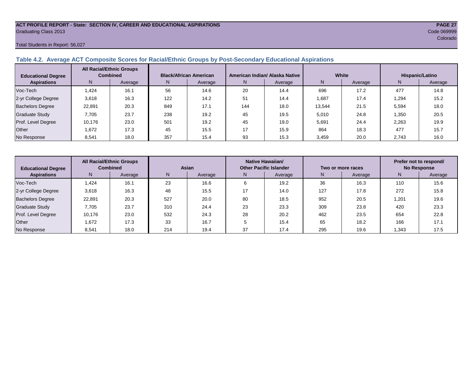#### **ACT PROFILE REPORT - State: SECTION IV, CAREER AND EDUCATIONAL ASPIRATIONS PAGE 27** Graduating Class 2013 Code 069999

#### Total Students in Report: 56,027

#### **Table 4.2. Average ACT Composite Scores for Racial/Ethnic Groups by Post-Secondary Educational Aspirations**

| <b>Educational Degree</b> | <b>All Racial/Ethnic Groups</b><br><b>Combined</b> |         | <b>Black/African American</b> |         |     | American Indian/ Alaska Native |        | White   | Hispanic/Latino |         |  |
|---------------------------|----------------------------------------------------|---------|-------------------------------|---------|-----|--------------------------------|--------|---------|-----------------|---------|--|
| <b>Aspirations</b>        | N                                                  | Average | N.                            | Average | N.  | Average                        | N      | Average | N               | Average |  |
| Voc-Tech                  | .424                                               | 16.1    | 56                            | 14.6    | 20  | 14.4                           | 696    | 17.2    | 477             | 14.8    |  |
| 2-yr College Degree       | 3,618                                              | 16.3    | 122                           | 14.2    | 51  | 14.4                           | 1,687  | 17.4    | 1,294           | 15.2    |  |
| <b>Bachelors Degree</b>   | 22,891                                             | 20.3    | 849                           | 17.1    | 144 | 18.0                           | 13,544 | 21.5    | 5,594           | 18.0    |  |
| Graduate Study            | 7.705                                              | 23.7    | 238                           | 19.2    | 45  | 19.5                           | 5,010  | 24.8    | .350            | 20.5    |  |
| Prof. Level Degree        | 10,176                                             | 23.0    | 501                           | 19.2    | 45  | 19.0                           | 5,691  | 24.4    | 2,263           | 19.9    |  |
| Other                     | 1.672                                              | 17.3    | 45                            | 15.5    | 17  | 15.9                           | 864    | 18.3    | 477             | 15.7    |  |
| No Response               | 8,541                                              | 18.0    | 357                           | 15.4    | 93  | 15.3                           | 3,459  | 20.0    | 2,743           | 16.0    |  |

| <b>Educational Degree</b> | <b>All Racial/Ethnic Groups</b><br><b>Combined</b> |         | Asian |         |              | Native Hawaiian/<br><b>Other Pacific Islander</b> |     | Two or more races | Prefer not to respond/<br><b>No Response</b> |         |  |
|---------------------------|----------------------------------------------------|---------|-------|---------|--------------|---------------------------------------------------|-----|-------------------|----------------------------------------------|---------|--|
| <b>Aspirations</b>        | N.                                                 | Average | N.    | Average | Average<br>N |                                                   | N   | Average           | N                                            | Average |  |
| Voc-Tech                  | .424                                               | 16.1    | 23    | 16.6    |              | 19.2                                              | 36  | 16.3              | 110                                          | 15.6    |  |
| 2-yr College Degree       | 3,618                                              | 16.3    | 48    | 15.5    |              | 14.0                                              | 127 | 17.8              | 272                                          | 15.8    |  |
| <b>Bachelors Degree</b>   | 22,891                                             | 20.3    | 527   | 20.0    | 80           | 18.5                                              | 952 | 20.5              | 201.                                         | 19.6    |  |
| <b>Graduate Study</b>     | 7.705                                              | 23.7    | 310   | 24.4    | 23           | 23.3                                              | 309 | 23.8              | 420                                          | 23.3    |  |
| Prof. Level Degree        | 10,176                                             | 23.0    | 532   | 24.3    | 28           | 20.2                                              | 462 | 23.5              | 654                                          | 22.8    |  |
| Other                     | 1,672                                              | 17.3    | 33    | 16.7    |              | 15.4                                              | 65  | 18.2              | 166                                          | 17.1    |  |
| No Response               | 8,541                                              | 18.0    | 214   | 19.4    | 37           | 17.4                                              | 295 | 19.6              | .343                                         | 17.5    |  |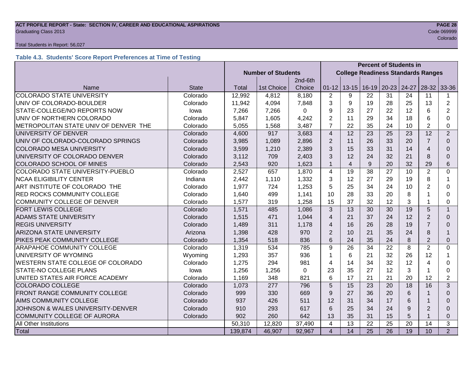## **ACT PROFILE REPORT - State: SECTION IV, CAREER AND EDUCATIONAL ASPIRATIONS PAGE 28** Graduating Class 2013 Code 069999

#### Total Students in Report: 56,027

## **Table 4.3. Students' Score Report Preferences at Time of Testing**

|                                                          |              |                           |            | <b>Percent of Students in</b> |                         |                                           |                 |                 |       |                         |                |
|----------------------------------------------------------|--------------|---------------------------|------------|-------------------------------|-------------------------|-------------------------------------------|-----------------|-----------------|-------|-------------------------|----------------|
|                                                          |              | <b>Number of Students</b> |            |                               |                         | <b>College Readiness Standards Ranges</b> |                 |                 |       |                         |                |
|                                                          |              |                           |            | 2nd-6th                       |                         |                                           |                 |                 |       |                         |                |
| Name                                                     | <b>State</b> | <b>Total</b>              | 1st Choice | Choice                        | $01 - 12$               | $13 - 15$                                 |                 | $16-19$ 20-23   | 24-27 | $28-32$                 | 33-36          |
| <b>COLORADO STATE UNIVERSITY</b>                         | Colorado     | 12,992                    | 4,812      | 8,180                         | $\overline{2}$          | 9                                         | 22              | 31              | 24    | 11                      | 1              |
| UNIV OF COLORADO-BOULDER                                 | Colorado     | 11,942                    | 4,094      | 7,848                         | 3                       | 9                                         | 19              | 28              | 25    | 13                      | $\overline{2}$ |
| STATE-COLLEGE/NO REPORTS NOW                             | lowa         | 7,266                     | 7,266      | 0                             | 9                       | 23                                        | 27              | 22              | 12    | 6                       | 2              |
| UNIV OF NORTHERN COLORADO                                | Colorado     | 5,847                     | 1,605      | 4,242                         | $\overline{2}$          | 11                                        | 29              | 34              | 18    | 6                       | $\Omega$       |
| METROPOLITAN STATE UNIV OF DENVER THE                    | Colorado     | 5,055                     | 1,568      | 3,487                         | $\overline{7}$          | 22                                        | 35              | 24              | 10    | $\overline{2}$          | 0              |
| UNIVERSITY OF DENVER                                     | Colorado     | 4,600                     | 917        | 3,683                         | $\overline{4}$          | 12                                        | 23              | 25              | 23    | 12                      | $\overline{2}$ |
| UNIV OF COLORADO-COLORADO SPRINGS                        | Colorado     | 3,985                     | 1,089      | 2,896                         | $\overline{2}$          | 11                                        | 26              | 33              | 20    | $\overline{7}$          | $\Omega$       |
| <b>COLORADO MESA UNIVERSITY</b>                          | Colorado     | 3,599                     | 1,210      | 2,389                         | 3                       | 15                                        | 33              | 31              | 14    | 4                       | $\Omega$       |
| UNIVERSITY OF COLORADO DENVER                            | Colorado     | 3,112                     | 709        | 2,403                         | 3                       | 12                                        | 24              | 32              | 21    | 8                       | $\Omega$       |
| COLORADO SCHOOL OF MINES                                 | Colorado     | 2,543                     | 920        | 1,623                         | $\mathbf{1}$            | $\overline{4}$                            | 9               | 20              | 32    | 29                      | 6              |
| COLORADO STATE UNIVERSITY-PUEBLO                         | Colorado     | 2,527                     | 657        | 1,870                         | $\overline{4}$          | 19                                        | 38              | 27              | 10    | $\overline{2}$          | $\Omega$       |
| <b>NCAA ELIGIBILITY CENTER</b>                           | Indiana      | 2,442                     | 1,110      | 1,332                         | 3                       | 12                                        | 27              | 29              | 19    | 8                       | 1              |
| ART INSTITUTE OF COLORADO THE                            | Colorado     | 1,977                     | 724        | 1,253                         | 5                       | 25                                        | 34              | 24              | 10    | $\overline{2}$          | $\Omega$       |
| RED ROCKS COMMUNITY COLLEGE                              | Colorado     | 1,640                     | 499        | 1,141                         | 10                      | 28                                        | 33              | 20              | 8     |                         | 0              |
| <b>COMMUNITY COLLEGE OF DENVER</b>                       | Colorado     | 1,577                     | 319        | 1,258                         | 15                      | 37                                        | 32              | 12              | 3     |                         | 0              |
| FORT LEWIS COLLEGE                                       | Colorado     | 1,571                     | 485        | 1,086                         | 3                       | 13                                        | 30              | 30              | 19    | 5                       | $\mathbf{1}$   |
| <b>ADAMS STATE UNIVERSITY</b>                            | Colorado     | 1,515                     | 471        | 1,044                         | $\overline{4}$          | 21                                        | 37              | 24              | 12    | 2                       | $\Omega$       |
| <b>REGIS UNIVERSITY</b>                                  | Colorado     | 1,489                     | 311        | 1,178                         | $\overline{4}$          | 16                                        | 26              | 28              | 19    | $\overline{7}$          | 0              |
| <b>ARIZONA STATE UNIVERSITY</b>                          | Arizona      | 1,398                     | 428        | 970                           | $\overline{2}$          | 10                                        | 21              | 35              | 24    | 8                       | 1              |
| PIKES PEAK COMMUNITY COLLEGE                             | Colorado     | 1,354                     | 518        | 836                           | 6                       | 24                                        | 35              | 24              | 8     | $\overline{2}$          | $\Omega$       |
| ARAPAHOE COMMUNITY COLLEGE                               | Colorado     | 1,319                     | 534        | 785                           | 9                       | 26                                        | 34              | 22              | 8     | $\overline{2}$          | $\Omega$       |
| UNIVERSITY OF WYOMING                                    | Wyoming      | 1,293                     | 357        | 936                           | $\mathbf{1}$            | 6                                         | 21              | 32              | 26    | 12                      |                |
| WESTERN STATE COLLEGE OF COLORADO                        | Colorado     | 1,275                     | 294        | 981                           | 4                       | 14                                        | 34              | 32              | 12    | $\overline{\mathbf{4}}$ | 0              |
| STATE-NO COLLEGE PLANS                                   | lowa         | 1,256                     | 1,256      | $\Omega$                      | 23                      | 35                                        | 27              | 12              | 3     |                         | 0              |
| UNITED STATES AIR FORCE ACADEMY                          | Colorado     | 1,169                     | 348        | 821                           | 6                       | 17                                        | 21              | 21              | 20    | 12                      | $\overline{2}$ |
| <b>COLORADO COLLEGE</b>                                  | Colorado     | 1,073                     | 277        | 796                           | 5                       | 15                                        | 23              | 20              | 18    | 16                      | 3              |
| FRONT RANGE COMMUNITY COLLEGE                            | Colorado     | 999                       | 330        | 669                           | 9                       | 27                                        | 36              | 20              | 6     |                         | $\Omega$       |
| AIMS COMMUNITY COLLEGE<br>Colorado                       |              | 937                       | 426        | 511                           | 12                      | 31                                        | 34              | 17              | 6     |                         | $\Omega$       |
| <b>JOHNSON &amp; WALES UNIVERSITY-DENVER</b><br>Colorado |              | 910                       | 293        | 617                           | 6                       | 25                                        | 34              | 24              | 9     | $\overline{2}$          | $\Omega$       |
| COMMUNITY COLLEGE OF AURORA                              | Colorado     | 902                       | 260        | 642                           | 13                      | 35                                        | 31              | 15              | 5     |                         | $\mathbf{0}$   |
| All Other Institutions                                   |              | 50,310                    | 12,820     | 37,490                        | 4                       | 13                                        | 22              | 25              | 20    | 14                      | 3              |
| Total                                                    |              | 139,874                   | 46,907     | 92,967                        | $\overline{\mathbf{4}}$ | $\overline{14}$                           | $\overline{25}$ | $\overline{26}$ | 19    | 10                      | 2              |

e de la construcción de la construcción de la construcción de la construcción de la construcción de la construcción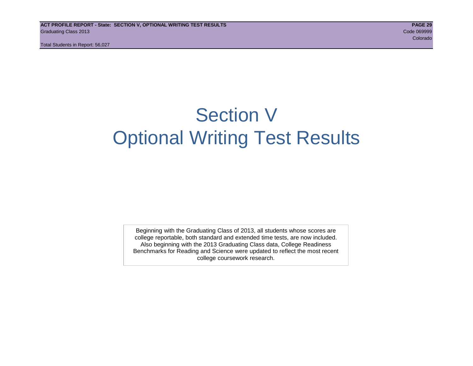## Section V Optional Writing Test Results

Beginning with the Graduating Class of 2013, all students whose scores are college reportable, both standard and extended time tests, are now included. Also beginning with the 2013 Graduating Class data, College Readiness Benchmarks for Reading and Science were updated to reflect the most recent college coursework research.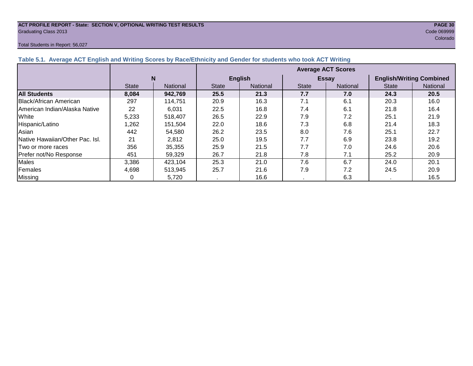## **ACT PROFILE REPORT - State: SECTION V, OPTIONAL WRITING TEST RESULTS PAGE 30** Graduating Class 2013 Code 069999

#### Total Students in Report: 56,027

e de la construcción de la construcción de la construcción de la construcción de la construcción de la construcción

| Table 5.1. Average ACT English and Writing Scores by Race/Ethnicity and Gender for students who took ACT Writing |              |          |                           |                 |              |              |                                 |                 |  |  |  |  |
|------------------------------------------------------------------------------------------------------------------|--------------|----------|---------------------------|-----------------|--------------|--------------|---------------------------------|-----------------|--|--|--|--|
|                                                                                                                  |              |          | <b>Average ACT Scores</b> |                 |              |              |                                 |                 |  |  |  |  |
|                                                                                                                  |              | N        |                           | <b>English</b>  |              | <b>Essay</b> | <b>English/Writing Combined</b> |                 |  |  |  |  |
|                                                                                                                  | <b>State</b> | National | <b>State</b>              | <b>National</b> | <b>State</b> | National     | <b>State</b>                    | <b>National</b> |  |  |  |  |
| <b>All Students</b>                                                                                              | 8,084        | 942.769  | 25.5                      | 21.3            | 7.7          | 7.0          | 24.3                            | 20.5            |  |  |  |  |
| Black/African American                                                                                           | 297          | 114,751  | 20.9                      | 16.3            | 7.1          | 6.1          | 20.3                            | 16.0            |  |  |  |  |
| American Indian/Alaska Native                                                                                    | 22           | 6,031    | 22.5                      | 16.8            | 7.4          | 6.1          | 21.8                            | 16.4            |  |  |  |  |
| White                                                                                                            | 5,233        | 518.407  | 26.5                      | 22.9            | 7.9          | 7.2          | 25.1                            | 21.9            |  |  |  |  |
| Hispanic/Latino                                                                                                  | 1,262        | 151.504  | 22.0                      | 18.6            | 7.3          | 6.8          | 21.4                            | 18.3            |  |  |  |  |
| Asian                                                                                                            | 442          | 54,580   | 26.2                      | 23.5            | 8.0          | 7.6          | 25.1                            | 22.7            |  |  |  |  |
| <b>Native Hawaiian/Other Pac. Isl.</b>                                                                           | 21           | 2,812    | 25.0                      | 19.5            | 7.7          | 6.9          | 23.8                            | 19.2            |  |  |  |  |
| I Two or more races                                                                                              | 356          | 35,355   | 25.9                      | 21.5            | 7.7          | 7.0          | 24.6                            | 20.6            |  |  |  |  |
| Prefer not/No Response                                                                                           | 451          | 59,329   | 26.7                      | 21.8            | 7.8          | 7.1          | 25.2                            | 20.9            |  |  |  |  |
| <b>Males</b>                                                                                                     | 3,386        | 423,104  | 25.3                      | 21.0            | 7.6          | 6.7          | 24.0                            | 20.1            |  |  |  |  |
| Females                                                                                                          | 4.698        | 513,945  | 25.7                      | 21.6            | 7.9          | 7.2          | 24.5                            | 20.9            |  |  |  |  |
| Missing                                                                                                          |              | 5,720    |                           | 16.6            |              | 6.3          |                                 | 16.5            |  |  |  |  |